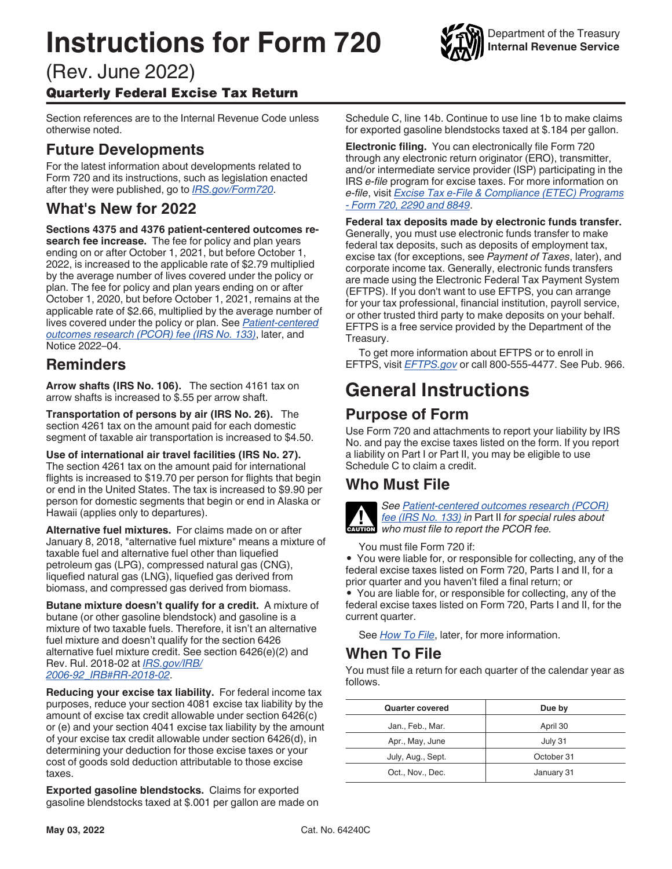# <span id="page-0-0"></span>**Instructions for Form 720**



Department of the Treasury **Internal Revenue Service**

# (Rev. June 2022) Quarterly Federal Excise Tax Return

Section references are to the Internal Revenue Code unless otherwise noted.

# **Future Developments**

For the latest information about developments related to Form 720 and its instructions, such as legislation enacted after they were published, go to *[IRS.gov/Form720](https://www.irs.gov/form720)*.

# **What's New for 2022**

**Sections 4375 and 4376 patient-centered outcomes research fee increase.** The fee for policy and plan years ending on or after October 1, 2021, but before October 1, 2022, is increased to the applicable rate of \$2.79 multiplied by the average number of lives covered under the policy or plan. The fee for policy and plan years ending on or after October 1, 2020, but before October 1, 2021, remains at the applicable rate of \$2.66, multiplied by the average number of lives covered under the policy or plan. See *[Patient-centered](#page-7-0) [outcomes research \(PCOR\) fee \(IRS No. 133\)](#page-7-0)*, later, and Notice 2022–04.

### **Reminders**

**Arrow shafts (IRS No. 106).** The section 4161 tax on arrow shafts is increased to \$.55 per arrow shaft.

**Transportation of persons by air (IRS No. 26).** The section 4261 tax on the amount paid for each domestic segment of taxable air transportation is increased to \$4.50.

**Use of international air travel facilities (IRS No. 27).**  The section 4261 tax on the amount paid for international flights is increased to \$19.70 per person for flights that begin or end in the United States. The tax is increased to \$9.90 per person for domestic segments that begin or end in Alaska or Hawaii (applies only to departures).

**Alternative fuel mixtures.** For claims made on or after January 8, 2018, "alternative fuel mixture" means a mixture of taxable fuel and alternative fuel other than liquefied petroleum gas (LPG), compressed natural gas (CNG), liquefied natural gas (LNG), liquefied gas derived from biomass, and compressed gas derived from biomass.

**Butane mixture doesn't qualify for a credit.** A mixture of butane (or other gasoline blendstock) and gasoline is a mixture of two taxable fuels. Therefore, it isn't an alternative fuel mixture and doesn't qualify for the section 6426 alternative fuel mixture credit. See section 6426(e)(2) and Rev. Rul. 2018-02 at *[IRS.gov/IRB/](https://www.irs.gov/pub/irs-drop/rr-18-02.pdf) [2006-92\\_IRB#RR-2018-02](https://www.irs.gov/pub/irs-drop/rr-18-02.pdf)*.

**Reducing your excise tax liability.** For federal income tax purposes, reduce your section 4081 excise tax liability by the amount of excise tax credit allowable under section 6426(c) or (e) and your section 4041 excise tax liability by the amount of your excise tax credit allowable under section 6426(d), in determining your deduction for those excise taxes or your cost of goods sold deduction attributable to those excise taxes.

**Exported gasoline blendstocks.** Claims for exported gasoline blendstocks taxed at \$.001 per gallon are made on

Schedule C, line 14b. Continue to use line 1b to make claims for exported gasoline blendstocks taxed at \$.184 per gallon.

**Electronic filing.** You can electronically file Form 720 through any electronic return originator (ERO), transmitter, and/or intermediate service provider (ISP) participating in the IRS *e-file* program for excise taxes. For more information on *e-file*, visit *[Excise Tax e-File & Compliance \(ETEC\) Programs](https://www.irs.gov/e-file-providers/excise-tax-e-file-compliance-etec-programs-form-720-2290-and-8849)  [- Form 720, 2290 and 8849](https://www.irs.gov/e-file-providers/excise-tax-e-file-compliance-etec-programs-form-720-2290-and-8849)*.

**Federal tax deposits made by electronic funds transfer.**  Generally, you must use electronic funds transfer to make federal tax deposits, such as deposits of employment tax, excise tax (for exceptions, see *Payment of Taxes*, later), and corporate income tax. Generally, electronic funds transfers are made using the Electronic Federal Tax Payment System (EFTPS). If you don't want to use EFTPS, you can arrange for your tax professional, financial institution, payroll service, or other trusted third party to make deposits on your behalf. EFTPS is a free service provided by the Department of the Treasury.

To get more information about EFTPS or to enroll in EFTPS, visit *[EFTPS.gov](https://www.eftps.gov)* or call 800-555-4477. See Pub. 966.

# **General Instructions**

# **Purpose of Form**

Use Form 720 and attachments to report your liability by IRS No. and pay the excise taxes listed on the form. If you report a liability on Part I or Part II, you may be eligible to use Schedule C to claim a credit.

# **Who Must File**



*See [Patient-centered outcomes research \(PCOR\)](#page-7-0)  [fee \(IRS No. 133\)](#page-7-0) in* Part II *for special rules about*  **EXECUTED:**  $\frac{fee}{dR}$  (IRS No. 133) in Part II for special who must file to report the PCOR fee.

You must file Form 720 if:

• You were liable for, or responsible for collecting, any of the federal excise taxes listed on Form 720, Parts I and II, for a prior quarter and you haven't filed a final return; or

• You are liable for, or responsible for collecting, any of the federal excise taxes listed on Form 720, Parts I and II, for the current quarter.

See *[How To File](#page-1-0)*, later, for more information.

### **When To File**

You must file a return for each quarter of the calendar year as follows.

| <b>Quarter covered</b> | Due by     |
|------------------------|------------|
| Jan., Feb., Mar.       | April 30   |
| Apr., May, June        | July 31    |
| July, Aug., Sept.      | October 31 |
| Oct., Nov., Dec.       | January 31 |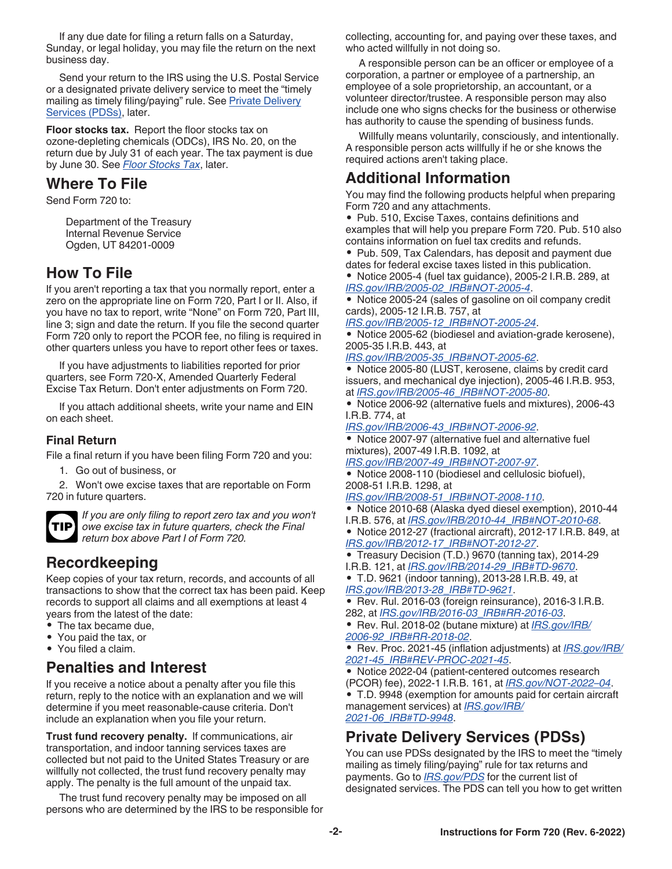<span id="page-1-0"></span>If any due date for filing a return falls on a Saturday, Sunday, or legal holiday, you may file the return on the next business day.

Send your return to the IRS using the U.S. Postal Service or a designated private delivery service to meet the "timely mailing as timely filing/paying" rule. See Private Delivery Services (PDSs), later.

**Floor stocks tax.** Report the floor stocks tax on ozone-depleting chemicals (ODCs), IRS No. 20, on the return due by July 31 of each year. The tax payment is due by June 30. See *[Floor Stocks Tax](#page-9-0)*, later.

### **Where To File**

Send Form 720 to:

Department of the Treasury Internal Revenue Service Ogden, UT 84201-0009

### **How To File**

If you aren't reporting a tax that you normally report, enter a zero on the appropriate line on Form 720, Part I or II. Also, if you have no tax to report, write "None" on Form 720, Part III, line 3; sign and date the return. If you file the second quarter Form 720 only to report the PCOR fee, no filing is required in other quarters unless you have to report other fees or taxes.

If you have adjustments to liabilities reported for prior quarters, see Form 720-X, Amended Quarterly Federal Excise Tax Return. Don't enter adjustments on Form 720.

If you attach additional sheets, write your name and EIN on each sheet.

### **Final Return**

File a final return if you have been filing Form 720 and you:

1. Go out of business, or

2. Won't owe excise taxes that are reportable on Form 720 in future quarters.



*If you are only filing to report zero tax and you won't owe excise tax in future quarters, check the Final return box above Part I of Form 720.*

# **Recordkeeping**

Keep copies of your tax return, records, and accounts of all transactions to show that the correct tax has been paid. Keep records to support all claims and all exemptions at least 4 years from the latest of the date:

- The tax became due,
- You paid the tax, or
- You filed a claim.

### **Penalties and Interest**

If you receive a notice about a penalty after you file this return, reply to the notice with an explanation and we will determine if you meet reasonable-cause criteria. Don't include an explanation when you file your return.

**Trust fund recovery penalty.** If communications, air transportation, and indoor tanning services taxes are collected but not paid to the United States Treasury or are willfully not collected, the trust fund recovery penalty may apply. The penalty is the full amount of the unpaid tax.

The trust fund recovery penalty may be imposed on all persons who are determined by the IRS to be responsible for collecting, accounting for, and paying over these taxes, and who acted willfully in not doing so.

A responsible person can be an officer or employee of a corporation, a partner or employee of a partnership, an employee of a sole proprietorship, an accountant, or a volunteer director/trustee. A responsible person may also include one who signs checks for the business or otherwise has authority to cause the spending of business funds.

Willfully means voluntarily, consciously, and intentionally. A responsible person acts willfully if he or she knows the required actions aren't taking place.

### **Additional Information**

You may find the following products helpful when preparing Form 720 and any attachments.

• Pub. 510, Excise Taxes, contains definitions and examples that will help you prepare Form 720. Pub. 510 also contains information on fuel tax credits and refunds.

• Pub. 509, Tax Calendars, has deposit and payment due dates for federal excise taxes listed in this publication.

• Notice 2005-4 (fuel tax guidance), 2005-2 I.R.B. 289, at *[IRS.gov/IRB/2005-02\\_IRB#NOT-2005-4](https://www.irs.gov/irb/2005-02_IRB#NOT-2005-4)*.

• Notice 2005-24 (sales of gasoline on oil company credit cards), 2005-12 I.R.B. 757, at

*[IRS.gov/IRB/2005-12\\_IRB#NOT-2005-24](https://www.irs.gov/irb/2005-12_IRB#NOT-2005-24)*.

• Notice 2005-62 (biodiesel and aviation-grade kerosene), 2005-35 I.R.B. 443, at

*[IRS.gov/IRB/2005-35\\_IRB#NOT-2005-62](https://www.irs.gov/irb/2005-35_IRB#NOT-2005-62)*.

• Notice 2005-80 (LUST, kerosene, claims by credit card issuers, and mechanical dye injection), 2005-46 I.R.B. 953, at *[IRS.gov/IRB/2005-46\\_IRB#NOT-2005-80](https://www.irs.gov/irb/2005-46_IRB#NOT-2005-80)*.

• Notice 2006-92 (alternative fuels and mixtures), 2006-43 I.R.B. 774, at

*[IRS.gov/IRB/2006-43\\_IRB#NOT-2006-92](https://www.irs.gov/irb/2006-43_IRB#NOT-2006-92)*.

• Notice 2007-97 (alternative fuel and alternative fuel mixtures), 2007-49 I.R.B. 1092, at

*[IRS.gov/IRB/2007-49\\_IRB#NOT-2007-97](https://www.irs.gov/irb/2007-49_IRB#NOT-2007-97)*.

• Notice 2008-110 (biodiesel and cellulosic biofuel), 2008-51 I.R.B. 1298, at

*[IRS.gov/IRB/2008-51\\_IRB#NOT-2008-110](https://www.irs.gov/irb/2008-51_IRB#NOT-2008-110)*.

- Notice 2010-68 (Alaska dyed diesel exemption), 2010-44 I.R.B. 576, at *[IRS.gov/IRB/2010-44\\_IRB#NOT-2010-68](https://www.irs.gov/irb/2010-44_IRB#NOT-2010-68)*.
- Notice 2012-27 (fractional aircraft), 2012-17 I.R.B. 849, at
- *[IRS.gov/IRB/2012-17\\_IRB#NOT-2012-27](https://www.irs.gov/irb/2012-17_IRB#NOT-2012-27)*.
- Treasury Decision (T.D.) 9670 (tanning tax), 2014-29
- I.R.B. 121, at *[IRS.gov/IRB/2014-29\\_IRB#TD-9670](https://www.irs.gov/irb/2014-29_IRB#TD-9670)*. • T.D. 9621 (indoor tanning), 2013-28 I.R.B. 49, at *[IRS.gov/IRB/2013-28\\_IRB#TD-9621](https://www.irs.gov/irb/2013-28_IRB#TD-9621)*.
- Rev. Rul. 2016-03 (foreign reinsurance), 2016-3 I.R.B. 282, at *[IRS.gov/IRB/2016-03\\_IRB#RR-2016-03](https://www.irs.gov/irb/2016-03_IRB#RR-2016-03)*.

• Rev. Rul. 2018-02 (butane mixture) at *[IRS.gov/IRB/](https://www.irs.gov/pub/irs-drop/rr-18-02.pdf) [2006-92\\_IRB#RR-2018-02](https://www.irs.gov/pub/irs-drop/rr-18-02.pdf)*.

• Rev. Proc. 2021-45 (inflation adjustments) at *[IRS.gov/IRB/](https://www.irs.gov/pub/irs-drop/rp-21-45.pdf) [2021-45\\_IRB#REV-PROC-2021-45](https://www.irs.gov/pub/irs-drop/rp-21-45.pdf)*.

• Notice 2022-04 (patient-centered outcomes research (PCOR) fee), 2022-1 I.R.B. 161, at *[IRS.gov/NOT-2022–04](https://www.irs.gov/pub/irs-drop/n-22-04.pdf)*.

• T.D. 9948 (exemption for amounts paid for certain aircraft management services) at *[IRS.gov/IRB/](https://www.irs.gov/irb/2021-06_IRB#TD-9948) [2021-06\\_IRB#TD-9948](https://www.irs.gov/irb/2021-06_IRB#TD-9948)*.

# **Private Delivery Services (PDSs)**

You can use PDSs designated by the IRS to meet the "timely mailing as timely filing/paying" rule for tax returns and payments. Go to *[IRS.gov/PDS](https://www.irs.gov/pds)* for the current list of designated services. The PDS can tell you how to get written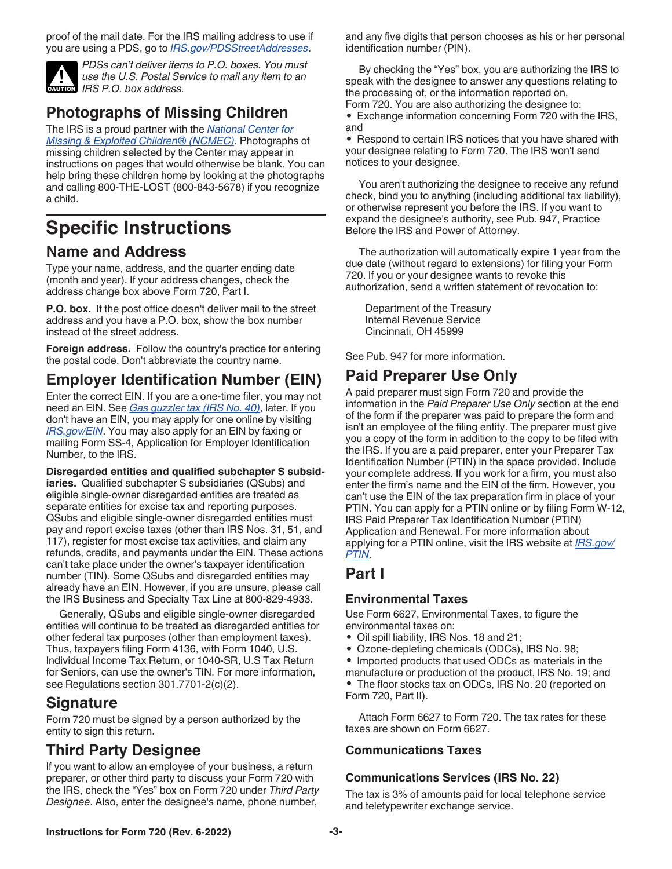<span id="page-2-0"></span>proof of the mail date. For the IRS mailing address to use if you are using a PDS, go to *[IRS.gov/PDSStreetAddresses](https://www.irs.gov/pdsstreetaddresses)*.



*PDSs can't deliver items to P.O. boxes. You must use the U.S. Postal Service to mail any item to an*  **IRS P.O.** box address.

# **Photographs of Missing Children**

The IRS is a proud partner with the *[National Center for](https://www.missingkids.org) [Missing & Exploited Children® \(NCMEC\)](https://www.missingkids.org)*. Photographs of missing children selected by the Center may appear in instructions on pages that would otherwise be blank. You can help bring these children home by looking at the photographs and calling 800-THE-LOST (800-843-5678) if you recognize a child.

# **Specific Instructions**

### **Name and Address**

Type your name, address, and the quarter ending date (month and year). If your address changes, check the address change box above Form 720, Part I.

**P.O. box.** If the post office doesn't deliver mail to the street address and you have a P.O. box, show the box number instead of the street address.

**Foreign address.** Follow the country's practice for entering the postal code. Don't abbreviate the country name.

# **Employer Identification Number (EIN)**

Enter the correct EIN. If you are a one-time filer, you may not need an EIN. See *[Gas guzzler tax \(IRS No. 40\)](#page-7-0)*, later. If you don't have an EIN, you may apply for one online by visiting *[IRS.gov/EIN](https://www.irs.gov/ein)*. You may also apply for an EIN by faxing or mailing Form SS-4, Application for Employer Identification Number, to the IRS.

**Disregarded entities and qualified subchapter S subsidiaries.** Qualified subchapter S subsidiaries (QSubs) and eligible single-owner disregarded entities are treated as separate entities for excise tax and reporting purposes. QSubs and eligible single-owner disregarded entities must pay and report excise taxes (other than IRS Nos. 31, 51, and 117), register for most excise tax activities, and claim any refunds, credits, and payments under the EIN. These actions can't take place under the owner's taxpayer identification number (TIN). Some QSubs and disregarded entities may already have an EIN. However, if you are unsure, please call the IRS Business and Specialty Tax Line at 800-829-4933.

Generally, QSubs and eligible single-owner disregarded entities will continue to be treated as disregarded entities for other federal tax purposes (other than employment taxes). Thus, taxpayers filing Form 4136, with Form 1040, U.S. Individual Income Tax Return, or 1040-SR, U.S Tax Return for Seniors, can use the owner's TIN. For more information, see Regulations section 301.7701-2(c)(2).

### **Signature**

Form 720 must be signed by a person authorized by the entity to sign this return.

# **Third Party Designee**

If you want to allow an employee of your business, a return preparer, or other third party to discuss your Form 720 with the IRS, check the "Yes" box on Form 720 under *Third Party Designee*. Also, enter the designee's name, phone number,

and any five digits that person chooses as his or her personal identification number (PIN).

By checking the "Yes" box, you are authorizing the IRS to speak with the designee to answer any questions relating to the processing of, or the information reported on, Form 720. You are also authorizing the designee to:

• Exchange information concerning Form 720 with the IRS, and

• Respond to certain IRS notices that you have shared with your designee relating to Form 720. The IRS won't send notices to your designee.

You aren't authorizing the designee to receive any refund check, bind you to anything (including additional tax liability), or otherwise represent you before the IRS. If you want to expand the designee's authority, see Pub. 947, Practice Before the IRS and Power of Attorney.

The authorization will automatically expire 1 year from the due date (without regard to extensions) for filing your Form 720. If you or your designee wants to revoke this authorization, send a written statement of revocation to:

Department of the Treasury Internal Revenue Service Cincinnati, OH 45999

See Pub. 947 for more information.

# **Paid Preparer Use Only**

A paid preparer must sign Form 720 and provide the information in the *Paid Preparer Use Only* section at the end of the form if the preparer was paid to prepare the form and isn't an employee of the filing entity. The preparer must give you a copy of the form in addition to the copy to be filed with the IRS. If you are a paid preparer, enter your Preparer Tax Identification Number (PTIN) in the space provided. Include your complete address. If you work for a firm, you must also enter the firm's name and the EIN of the firm. However, you can't use the EIN of the tax preparation firm in place of your PTIN. You can apply for a PTIN online or by filing Form W-12, IRS Paid Preparer Tax Identification Number (PTIN) Application and Renewal. For more information about applying for a PTIN online, visit the IRS website at *[IRS.gov/](https://www.irs.gov/ptin) [PTIN](https://www.irs.gov/ptin)*.

# **Part I**

### **Environmental Taxes**

Use Form 6627, Environmental Taxes, to figure the environmental taxes on:

- Oil spill liability, IRS Nos. 18 and 21;
- Ozone-depleting chemicals (ODCs), IRS No. 98;
- Imported products that used ODCs as materials in the

manufacture or production of the product, IRS No. 19; and • The floor stocks tax on ODCs, IRS No. 20 (reported on Form 720, Part II).

Attach Form 6627 to Form 720. The tax rates for these taxes are shown on Form 6627.

### **Communications Taxes**

### **Communications Services (IRS No. 22)**

The tax is 3% of amounts paid for local telephone service and teletypewriter exchange service.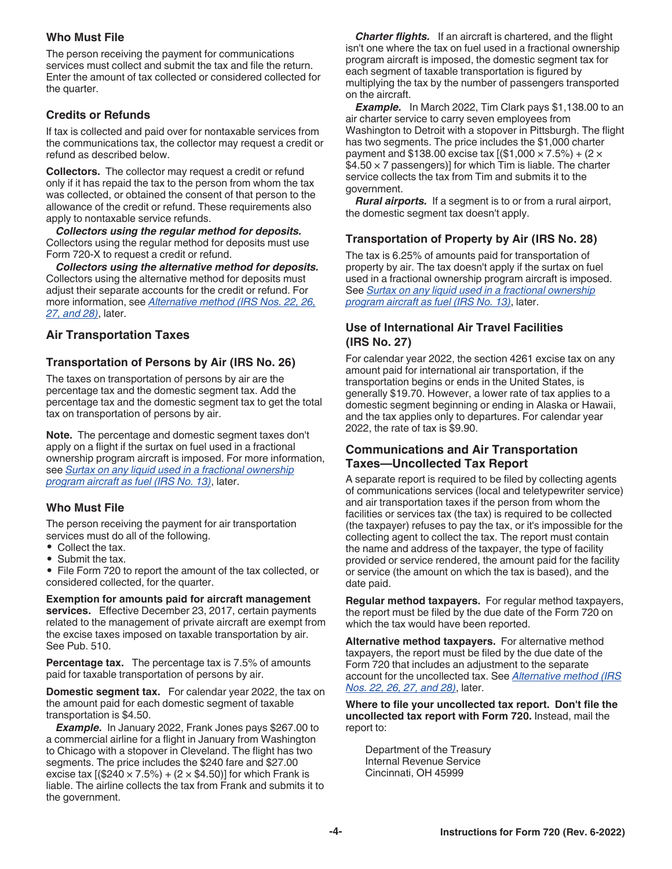### <span id="page-3-0"></span>**Who Must File**

The person receiving the payment for communications services must collect and submit the tax and file the return. Enter the amount of tax collected or considered collected for the quarter.

### **Credits or Refunds**

If tax is collected and paid over for nontaxable services from the communications tax, the collector may request a credit or refund as described below.

**Collectors.** The collector may request a credit or refund only if it has repaid the tax to the person from whom the tax was collected, or obtained the consent of that person to the allowance of the credit or refund. These requirements also apply to nontaxable service refunds.

*Collectors using the regular method for deposits.*  Collectors using the regular method for deposits must use Form 720-X to request a credit or refund.

*Collectors using the alternative method for deposits.*  Collectors using the alternative method for deposits must adjust their separate accounts for the credit or refund. For more information, see *[Alternative method \(IRS Nos. 22, 26,](#page-10-0)  [27, and 28\)](#page-10-0)*, later.

### **Air Transportation Taxes**

### **Transportation of Persons by Air (IRS No. 26)**

The taxes on transportation of persons by air are the percentage tax and the domestic segment tax. Add the percentage tax and the domestic segment tax to get the total tax on transportation of persons by air.

**Note.** The percentage and domestic segment taxes don't apply on a flight if the surtax on fuel used in a fractional ownership program aircraft is imposed. For more information, see *[Surtax on any liquid used in a fractional ownership](#page-4-0) [program aircraft as fuel \(IRS No. 13\)](#page-4-0)*, later.

### **Who Must File**

The person receiving the payment for air transportation services must do all of the following.

- Collect the tax.
- Submit the tax.

• File Form 720 to report the amount of the tax collected, or considered collected, for the quarter.

**Exemption for amounts paid for aircraft management services.** Effective December 23, 2017, certain payments related to the management of private aircraft are exempt from the excise taxes imposed on taxable transportation by air. See Pub. 510.

**Percentage tax.** The percentage tax is 7.5% of amounts paid for taxable transportation of persons by air.

**Domestic segment tax.** For calendar year 2022, the tax on the amount paid for each domestic segment of taxable transportation is \$4.50.

*Example.* In January 2022, Frank Jones pays \$267.00 to a commercial airline for a flight in January from Washington to Chicago with a stopover in Cleveland. The flight has two segments. The price includes the \$240 fare and \$27.00 excise tax  $[(\$240 \times 7.5\%) + (2 \times \$4.50)]$  for which Frank is liable. The airline collects the tax from Frank and submits it to the government.

*Charter flights.* If an aircraft is chartered, and the flight isn't one where the tax on fuel used in a fractional ownership program aircraft is imposed, the domestic segment tax for each segment of taxable transportation is figured by multiplying the tax by the number of passengers transported on the aircraft.

*Example.* In March 2022, Tim Clark pays \$1,138.00 to an air charter service to carry seven employees from Washington to Detroit with a stopover in Pittsburgh. The flight has two segments. The price includes the \$1,000 charter payment and \$138.00 excise tax  $[($1,000 \times 7.5\%) + (2 \times$  $$4.50 \times 7$  passengers)] for which Tim is liable. The charter service collects the tax from Tim and submits it to the government.

*Rural airports.* If a segment is to or from a rural airport, the domestic segment tax doesn't apply.

### **Transportation of Property by Air (IRS No. 28)**

The tax is 6.25% of amounts paid for transportation of property by air. The tax doesn't apply if the surtax on fuel used in a fractional ownership program aircraft is imposed. See *[Surtax on any liquid used in a fractional ownership](#page-4-0)  [program aircraft as fuel \(IRS No. 13\)](#page-4-0)*, later.

### **Use of International Air Travel Facilities (IRS No. 27)**

For calendar year 2022, the section 4261 excise tax on any amount paid for international air transportation, if the transportation begins or ends in the United States, is generally \$19.70. However, a lower rate of tax applies to a domestic segment beginning or ending in Alaska or Hawaii, and the tax applies only to departures. For calendar year 2022, the rate of tax is \$9.90.

### **Communications and Air Transportation Taxes—Uncollected Tax Report**

A separate report is required to be filed by collecting agents of communications services (local and teletypewriter service) and air transportation taxes if the person from whom the facilities or services tax (the tax) is required to be collected (the taxpayer) refuses to pay the tax, or it's impossible for the collecting agent to collect the tax. The report must contain the name and address of the taxpayer, the type of facility provided or service rendered, the amount paid for the facility or service (the amount on which the tax is based), and the date paid.

**Regular method taxpayers.** For regular method taxpayers, the report must be filed by the due date of the Form 720 on which the tax would have been reported.

**Alternative method taxpayers.** For alternative method taxpayers, the report must be filed by the due date of the Form 720 that includes an adjustment to the separate account for the uncollected tax. See *[Alternative method \(IRS](#page-10-0) [Nos. 22, 26, 27, and 28\)](#page-10-0)*, later.

**Where to file your uncollected tax report. Don't file the uncollected tax report with Form 720.** Instead, mail the report to:

Department of the Treasury Internal Revenue Service Cincinnati, OH 45999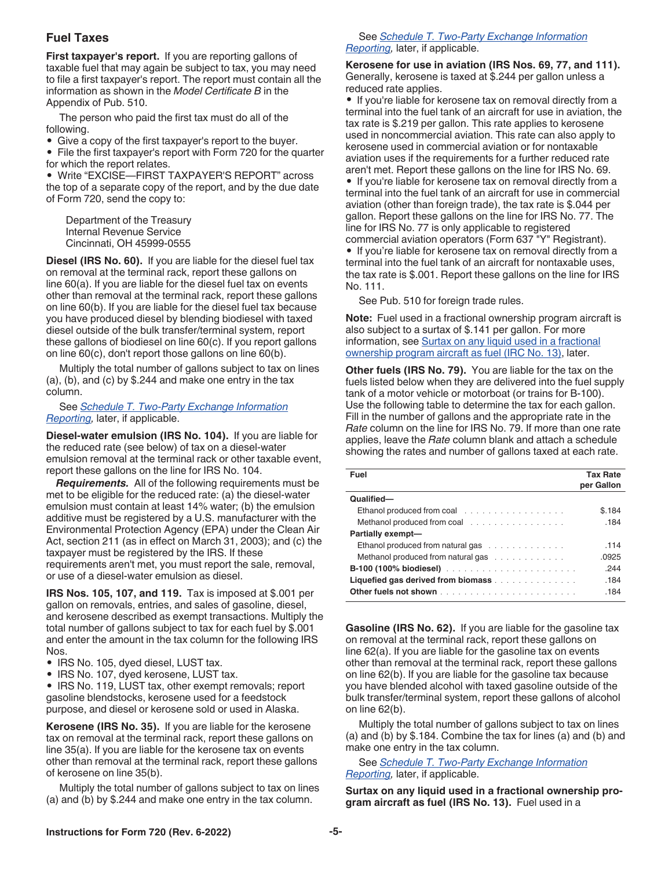### <span id="page-4-0"></span>**Fuel Taxes**

**First taxpayer's report.** If you are reporting gallons of taxable fuel that may again be subject to tax, you may need to file a first taxpayer's report. The report must contain all the information as shown in the *Model Certificate B* in the Appendix of Pub. 510.

The person who paid the first tax must do all of the following.

• Give a copy of the first taxpayer's report to the buyer.

• File the first taxpayer's report with Form 720 for the quarter for which the report relates.

• Write "EXCISE—FIRST TAXPAYER'S REPORT" across the top of a separate copy of the report, and by the due date of Form 720, send the copy to:

Department of the Treasury Internal Revenue Service Cincinnati, OH 45999-0555

**Diesel (IRS No. 60).** If you are liable for the diesel fuel tax on removal at the terminal rack, report these gallons on line 60(a). If you are liable for the diesel fuel tax on events other than removal at the terminal rack, report these gallons on line 60(b). If you are liable for the diesel fuel tax because you have produced diesel by blending biodiesel with taxed diesel outside of the bulk transfer/terminal system, report these gallons of biodiesel on line 60(c). If you report gallons on line 60(c), don't report those gallons on line 60(b).

Multiply the total number of gallons subject to tax on lines (a), (b), and (c) by \$.244 and make one entry in the tax column.

See *[Schedule T. Two-Party Exchange Information](#page-11-0)  [Reporting](#page-11-0),* later, if applicable.

**Diesel-water emulsion (IRS No. 104).** If you are liable for the reduced rate (see below) of tax on a diesel-water emulsion removal at the terminal rack or other taxable event, report these gallons on the line for IRS No. 104.

*Requirements.* All of the following requirements must be met to be eligible for the reduced rate: (a) the diesel-water emulsion must contain at least 14% water; (b) the emulsion additive must be registered by a U.S. manufacturer with the Environmental Protection Agency (EPA) under the Clean Air Act, section 211 (as in effect on March 31, 2003); and (c) the taxpayer must be registered by the IRS. If these requirements aren't met, you must report the sale, removal, or use of a diesel-water emulsion as diesel.

**IRS Nos. 105, 107, and 119.** Tax is imposed at \$.001 per gallon on removals, entries, and sales of gasoline, diesel, and kerosene described as exempt transactions. Multiply the total number of gallons subject to tax for each fuel by \$.001 and enter the amount in the tax column for the following IRS Nos.

- IRS No. 105, dyed diesel, LUST tax.
- IRS No. 107, dyed kerosene, LUST tax.

• IRS No. 119, LUST tax, other exempt removals; report gasoline blendstocks, kerosene used for a feedstock purpose, and diesel or kerosene sold or used in Alaska.

**Kerosene (IRS No. 35).** If you are liable for the kerosene tax on removal at the terminal rack, report these gallons on line 35(a). If you are liable for the kerosene tax on events other than removal at the terminal rack, report these gallons of kerosene on line 35(b).

Multiply the total number of gallons subject to tax on lines (a) and (b) by \$.244 and make one entry in the tax column.

#### See *[Schedule T. Two-Party Exchange Information](#page-11-0)  [Reporting](#page-11-0),* later, if applicable.

**Kerosene for use in aviation (IRS Nos. 69, 77, and 111).** Generally, kerosene is taxed at \$.244 per gallon unless a reduced rate applies.

• If you're liable for kerosene tax on removal directly from a terminal into the fuel tank of an aircraft for use in aviation, the tax rate is \$.219 per gallon. This rate applies to kerosene used in noncommercial aviation. This rate can also apply to kerosene used in commercial aviation or for nontaxable aviation uses if the requirements for a further reduced rate aren't met. Report these gallons on the line for IRS No. 69. • If you're liable for kerosene tax on removal directly from a terminal into the fuel tank of an aircraft for use in commercial aviation (other than foreign trade), the tax rate is \$.044 per gallon. Report these gallons on the line for IRS No. 77. The line for IRS No. 77 is only applicable to registered commercial aviation operators (Form 637 "Y" Registrant).

• If you're liable for kerosene tax on removal directly from a terminal into the fuel tank of an aircraft for nontaxable uses, the tax rate is \$.001. Report these gallons on the line for IRS No. 111.

See Pub. 510 for foreign trade rules.

**Note:** Fuel used in a fractional ownership program aircraft is also subject to a surtax of \$.141 per gallon. For more information, see Surtax on any liquid used in a fractional ownership program aircraft as fuel (IRC No. 13), later.

**Other fuels (IRS No. 79).** You are liable for the tax on the fuels listed below when they are delivered into the fuel supply tank of a motor vehicle or motorboat (or trains for B-100). Use the following table to determine the tax for each gallon. Fill in the number of gallons and the appropriate rate in the *Rate* column on the line for IRS No. 79. If more than one rate applies, leave the *Rate* column blank and attach a schedule showing the rates and number of gallons taxed at each rate.

| Fuel                               | <b>Tax Rate</b><br>per Gallon |
|------------------------------------|-------------------------------|
| Qualified-                         |                               |
| Ethanol produced from coal         | \$.184                        |
| Methanol produced from coal        | .184                          |
| Partially exempt-                  |                               |
| Ethanol produced from natural gas  | .114                          |
| Methanol produced from natural gas | .0925                         |
|                                    | .244                          |
| Liquefied gas derived from biomass | .184                          |
|                                    | .184                          |

**Gasoline (IRS No. 62).** If you are liable for the gasoline tax on removal at the terminal rack, report these gallons on line 62(a). If you are liable for the gasoline tax on events other than removal at the terminal rack, report these gallons on line 62(b). If you are liable for the gasoline tax because you have blended alcohol with taxed gasoline outside of the bulk transfer/terminal system, report these gallons of alcohol on line 62(b).

Multiply the total number of gallons subject to tax on lines (a) and (b) by \$.184. Combine the tax for lines (a) and (b) and make one entry in the tax column.

See *[Schedule T. Two-Party Exchange Information](#page-11-0)  [Reporting](#page-11-0),* later, if applicable.

**Surtax on any liquid used in a fractional ownership program aircraft as fuel (IRS No. 13).** Fuel used in a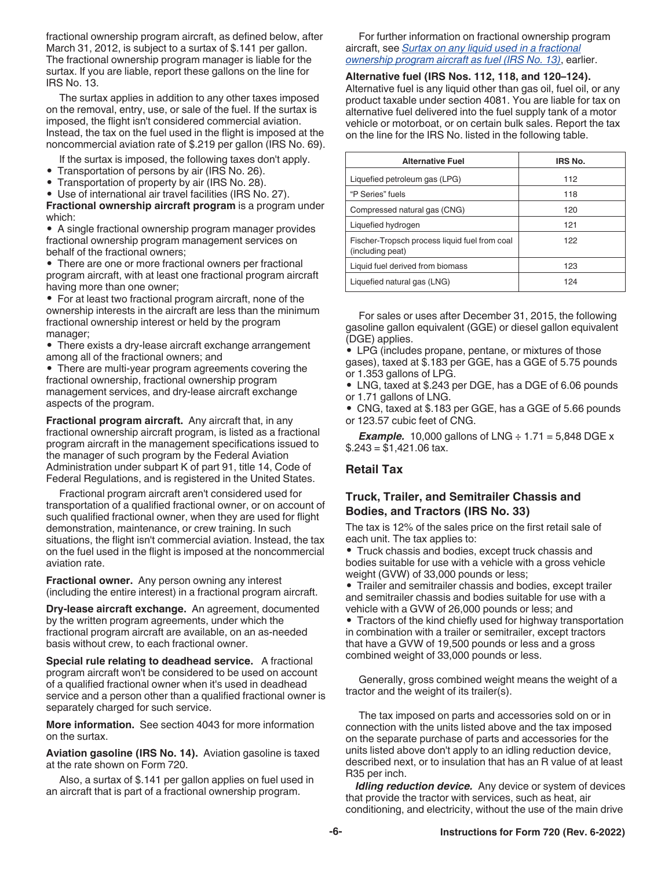<span id="page-5-0"></span>fractional ownership program aircraft, as defined below, after March 31, 2012, is subject to a surtax of \$.141 per gallon. The fractional ownership program manager is liable for the surtax. If you are liable, report these gallons on the line for IRS No. 13.

The surtax applies in addition to any other taxes imposed on the removal, entry, use, or sale of the fuel. If the surtax is imposed, the flight isn't considered commercial aviation. Instead, the tax on the fuel used in the flight is imposed at the noncommercial aviation rate of \$.219 per gallon (IRS No. 69).

If the surtax is imposed, the following taxes don't apply.

- Transportation of persons by air (IRS No. 26).
- Transportation of property by air (IRS No. 28).
- Use of international air travel facilities (IRS No. 27).

**Fractional ownership aircraft program** is a program under which:

• A single fractional ownership program manager provides fractional ownership program management services on behalf of the fractional owners;

• There are one or more fractional owners per fractional program aircraft, with at least one fractional program aircraft having more than one owner;

• For at least two fractional program aircraft, none of the ownership interests in the aircraft are less than the minimum fractional ownership interest or held by the program manager;

• There exists a dry-lease aircraft exchange arrangement among all of the fractional owners; and

• There are multi-year program agreements covering the fractional ownership, fractional ownership program management services, and dry-lease aircraft exchange aspects of the program.

**Fractional program aircraft.** Any aircraft that, in any fractional ownership aircraft program, is listed as a fractional program aircraft in the management specifications issued to the manager of such program by the Federal Aviation Administration under subpart K of part 91, title 14, Code of Federal Regulations, and is registered in the United States.

Fractional program aircraft aren't considered used for transportation of a qualified fractional owner, or on account of such qualified fractional owner, when they are used for flight demonstration, maintenance, or crew training. In such situations, the flight isn't commercial aviation. Instead, the tax on the fuel used in the flight is imposed at the noncommercial aviation rate.

**Fractional owner.** Any person owning any interest (including the entire interest) in a fractional program aircraft.

**Dry-lease aircraft exchange.** An agreement, documented by the written program agreements, under which the fractional program aircraft are available, on an as-needed basis without crew, to each fractional owner.

**Special rule relating to deadhead service.** A fractional program aircraft won't be considered to be used on account of a qualified fractional owner when it's used in deadhead service and a person other than a qualified fractional owner is separately charged for such service.

**More information.** See section 4043 for more information on the surtax.

**Aviation gasoline (IRS No. 14).** Aviation gasoline is taxed at the rate shown on Form 720.

Also, a surtax of \$.141 per gallon applies on fuel used in an aircraft that is part of a fractional ownership program.

For further information on fractional ownership program aircraft, see *[Surtax on any liquid used in a fractional](#page-4-0) [ownership program aircraft as fuel \(IRS No. 13\)](#page-4-0)*, earlier.

**Alternative fuel (IRS Nos. 112, 118, and 120–124).** Alternative fuel is any liquid other than gas oil, fuel oil, or any product taxable under section 4081. You are liable for tax on alternative fuel delivered into the fuel supply tank of a motor vehicle or motorboat, or on certain bulk sales. Report the tax on the line for the IRS No. listed in the following table.

| <b>Alternative Fuel</b>                                           | IRS No. |
|-------------------------------------------------------------------|---------|
| Liquefied petroleum gas (LPG)                                     | 112     |
| "P Series" fuels                                                  | 118     |
| Compressed natural gas (CNG)                                      | 120     |
| Liquefied hydrogen                                                | 121     |
| Fischer-Tropsch process liquid fuel from coal<br>(including peat) | 122     |
| Liquid fuel derived from biomass                                  | 123     |
| Liquefied natural gas (LNG)                                       | 124     |

For sales or uses after December 31, 2015, the following gasoline gallon equivalent (GGE) or diesel gallon equivalent (DGE) applies.

• LPG (includes propane, pentane, or mixtures of those gases), taxed at \$.183 per GGE, has a GGE of 5.75 pounds or 1.353 gallons of LPG.

• LNG, taxed at \$.243 per DGE, has a DGE of 6.06 pounds or 1.71 gallons of LNG.

• CNG, taxed at \$.183 per GGE, has a GGE of 5.66 pounds or 123.57 cubic feet of CNG.

*Example.* 10,000 gallons of LNG  $\div$  1.71 = 5,848 DGE x  $$.243 = $1,421.06$  tax.

### **Retail Tax**

### **Truck, Trailer, and Semitrailer Chassis and Bodies, and Tractors (IRS No. 33)**

The tax is 12% of the sales price on the first retail sale of each unit. The tax applies to:

• Truck chassis and bodies, except truck chassis and bodies suitable for use with a vehicle with a gross vehicle weight (GVW) of 33,000 pounds or less;

• Trailer and semitrailer chassis and bodies, except trailer and semitrailer chassis and bodies suitable for use with a vehicle with a GVW of 26,000 pounds or less; and

• Tractors of the kind chiefly used for highway transportation in combination with a trailer or semitrailer, except tractors that have a GVW of 19,500 pounds or less and a gross combined weight of 33,000 pounds or less.

Generally, gross combined weight means the weight of a tractor and the weight of its trailer(s).

The tax imposed on parts and accessories sold on or in connection with the units listed above and the tax imposed on the separate purchase of parts and accessories for the units listed above don't apply to an idling reduction device, described next, or to insulation that has an R value of at least R35 per inch.

*Idling reduction device.* Any device or system of devices that provide the tractor with services, such as heat, air conditioning, and electricity, without the use of the main drive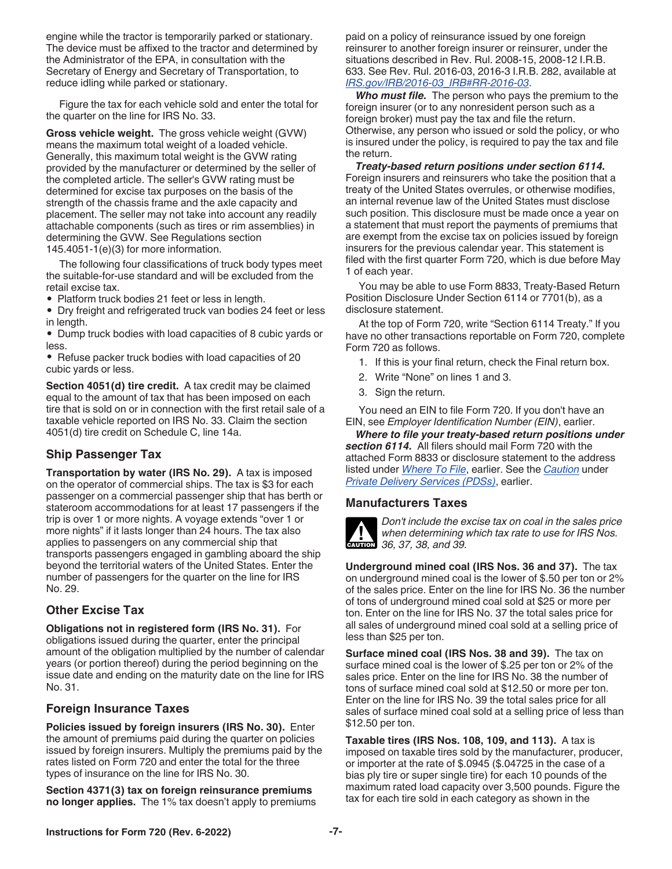<span id="page-6-0"></span>engine while the tractor is temporarily parked or stationary. The device must be affixed to the tractor and determined by the Administrator of the EPA, in consultation with the Secretary of Energy and Secretary of Transportation, to reduce idling while parked or stationary.

Figure the tax for each vehicle sold and enter the total for the quarter on the line for IRS No. 33.

**Gross vehicle weight.** The gross vehicle weight (GVW) means the maximum total weight of a loaded vehicle. Generally, this maximum total weight is the GVW rating provided by the manufacturer or determined by the seller of the completed article. The seller's GVW rating must be determined for excise tax purposes on the basis of the strength of the chassis frame and the axle capacity and placement. The seller may not take into account any readily attachable components (such as tires or rim assemblies) in determining the GVW. See Regulations section 145.4051-1(e)(3) for more information.

The following four classifications of truck body types meet the suitable-for-use standard and will be excluded from the retail excise tax.

• Platform truck bodies 21 feet or less in length.

• Dry freight and refrigerated truck van bodies 24 feet or less in length.

• Dump truck bodies with load capacities of 8 cubic yards or less.

• Refuse packer truck bodies with load capacities of 20 cubic yards or less.

**Section 4051(d) tire credit.** A tax credit may be claimed equal to the amount of tax that has been imposed on each tire that is sold on or in connection with the first retail sale of a taxable vehicle reported on IRS No. 33. Claim the section 4051(d) tire credit on Schedule C, line 14a.

### **Ship Passenger Tax**

**Transportation by water (IRS No. 29).** A tax is imposed on the operator of commercial ships. The tax is \$3 for each passenger on a commercial passenger ship that has berth or stateroom accommodations for at least 17 passengers if the trip is over 1 or more nights. A voyage extends "over 1 or more nights" if it lasts longer than 24 hours. The tax also applies to passengers on any commercial ship that transports passengers engaged in gambling aboard the ship beyond the territorial waters of the United States. Enter the number of passengers for the quarter on the line for IRS No. 29.

### **Other Excise Tax**

**Obligations not in registered form (IRS No. 31).** For obligations issued during the quarter, enter the principal amount of the obligation multiplied by the number of calendar years (or portion thereof) during the period beginning on the issue date and ending on the maturity date on the line for IRS No. 31.

### **Foreign Insurance Taxes**

**Policies issued by foreign insurers (IRS No. 30).** Enter the amount of premiums paid during the quarter on policies issued by foreign insurers. Multiply the premiums paid by the rates listed on Form 720 and enter the total for the three types of insurance on the line for IRS No. 30.

**Section 4371(3) tax on foreign reinsurance premiums no longer applies.** The 1% tax doesn't apply to premiums paid on a policy of reinsurance issued by one foreign reinsurer to another foreign insurer or reinsurer, under the situations described in Rev. Rul. 2008-15, 2008-12 I.R.B. 633. See Rev. Rul. 2016-03, 2016-3 I.R.B. 282, available at *[IRS.gov/IRB/2016-03\\_IRB#RR-2016-03](https://www.irs.gov/irb/2016-03_IRB#RR-2016-03)*.

*Who must file.* The person who pays the premium to the foreign insurer (or to any nonresident person such as a foreign broker) must pay the tax and file the return. Otherwise, any person who issued or sold the policy, or who is insured under the policy, is required to pay the tax and file the return.

*Treaty-based return positions under section 6114.*  Foreign insurers and reinsurers who take the position that a treaty of the United States overrules, or otherwise modifies, an internal revenue law of the United States must disclose such position. This disclosure must be made once a year on a statement that must report the payments of premiums that are exempt from the excise tax on policies issued by foreign insurers for the previous calendar year. This statement is filed with the first quarter Form 720, which is due before May 1 of each year.

You may be able to use Form 8833, Treaty-Based Return Position Disclosure Under Section 6114 or 7701(b), as a disclosure statement.

At the top of Form 720, write "Section 6114 Treaty." If you have no other transactions reportable on Form 720, complete Form 720 as follows.

- 1. If this is your final return, check the Final return box.
- 2. Write "None" on lines 1 and 3.
- 3. Sign the return.

You need an EIN to file Form 720. If you don't have an EIN, see *Employer Identification Number (EIN)*, earlier.

*Where to file your treaty-based return positions under section 6114.* All filers should mail Form 720 with the attached Form 8833 or disclosure statement to the address listed under *[Where To File](#page-1-0)*, earlier. See the *[Caution](#page-2-0)* under *[Private Delivery Services \(PDSs\)](#page-1-0)*, earlier.

### **Manufacturers Taxes**



*Don't include the excise tax on coal in the sales price when determining which tax rate to use for IRS Nos.*  **CAUTION** 36, 37, 38, and 39.

**Underground mined coal (IRS Nos. 36 and 37).** The tax on underground mined coal is the lower of \$.50 per ton or 2% of the sales price. Enter on the line for IRS No. 36 the number of tons of underground mined coal sold at \$25 or more per ton. Enter on the line for IRS No. 37 the total sales price for all sales of underground mined coal sold at a selling price of less than \$25 per ton.

**Surface mined coal (IRS Nos. 38 and 39).** The tax on surface mined coal is the lower of \$.25 per ton or 2% of the sales price. Enter on the line for IRS No. 38 the number of tons of surface mined coal sold at \$12.50 or more per ton. Enter on the line for IRS No. 39 the total sales price for all sales of surface mined coal sold at a selling price of less than \$12.50 per ton.

**Taxable tires (IRS Nos. 108, 109, and 113).** A tax is imposed on taxable tires sold by the manufacturer, producer, or importer at the rate of \$.0945 (\$.04725 in the case of a bias ply tire or super single tire) for each 10 pounds of the maximum rated load capacity over 3,500 pounds. Figure the tax for each tire sold in each category as shown in the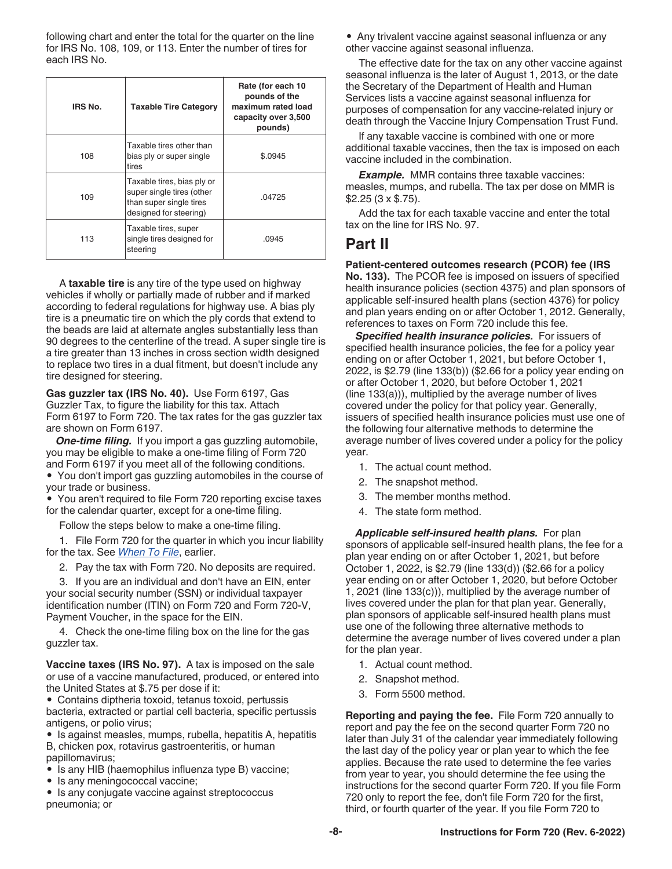<span id="page-7-0"></span>following chart and enter the total for the quarter on the line for IRS No. 108, 109, or 113. Enter the number of tires for each IRS No.

| IRS No. | <b>Taxable Tire Category</b>                                                                                 | Rate (for each 10<br>pounds of the<br>maximum rated load<br>capacity over 3,500<br>pounds) |
|---------|--------------------------------------------------------------------------------------------------------------|--------------------------------------------------------------------------------------------|
| 108     | Taxable tires other than<br>bias ply or super single<br>tires                                                | \$.0945                                                                                    |
| 109     | Taxable tires, bias ply or<br>super single tires (other<br>than super single tires<br>designed for steering) | .04725                                                                                     |
| 113     | Taxable tires, super<br>single tires designed for<br>steering                                                | .0945                                                                                      |

A **taxable tire** is any tire of the type used on highway vehicles if wholly or partially made of rubber and if marked according to federal regulations for highway use. A bias ply tire is a pneumatic tire on which the ply cords that extend to the beads are laid at alternate angles substantially less than 90 degrees to the centerline of the tread. A super single tire is a tire greater than 13 inches in cross section width designed to replace two tires in a dual fitment, but doesn't include any tire designed for steering.

**Gas guzzler tax (IRS No. 40).** Use Form 6197, Gas Guzzler Tax, to figure the liability for this tax. Attach Form 6197 to Form 720. The tax rates for the gas guzzler tax are shown on Form 6197.

*One-time filing.* If you import a gas guzzling automobile, you may be eligible to make a one-time filing of Form 720 and Form 6197 if you meet all of the following conditions.

• You don't import gas guzzling automobiles in the course of your trade or business.

• You aren't required to file Form 720 reporting excise taxes for the calendar quarter, except for a one-time filing.

Follow the steps below to make a one-time filing.

1. File Form 720 for the quarter in which you incur liability for the tax. See *[When To File](#page-0-0)*, earlier.

2. Pay the tax with Form 720. No deposits are required.

3. If you are an individual and don't have an EIN, enter your social security number (SSN) or individual taxpayer identification number (ITIN) on Form 720 and Form 720-V, Payment Voucher, in the space for the EIN.

4. Check the one-time filing box on the line for the gas guzzler tax.

**Vaccine taxes (IRS No. 97).** A tax is imposed on the sale or use of a vaccine manufactured, produced, or entered into the United States at \$.75 per dose if it:

• Contains diptheria toxoid, tetanus toxoid, pertussis bacteria, extracted or partial cell bacteria, specific pertussis antigens, or polio virus;

• Is against measles, mumps, rubella, hepatitis A, hepatitis B, chicken pox, rotavirus gastroenteritis, or human papillomavirus;

• Is any HIB (haemophilus influenza type B) vaccine;

• Is any meningococcal vaccine;

• Is any conjugate vaccine against streptococcus pneumonia; or

• Any trivalent vaccine against seasonal influenza or any other vaccine against seasonal influenza.

The effective date for the tax on any other vaccine against seasonal influenza is the later of August 1, 2013, or the date the Secretary of the Department of Health and Human Services lists a vaccine against seasonal influenza for purposes of compensation for any vaccine-related injury or death through the Vaccine Injury Compensation Trust Fund.

If any taxable vaccine is combined with one or more additional taxable vaccines, then the tax is imposed on each vaccine included in the combination.

*Example.* MMR contains three taxable vaccines: measles, mumps, and rubella. The tax per dose on MMR is \$2.25 (3 x \$.75).

Add the tax for each taxable vaccine and enter the total tax on the line for IRS No. 97.

### **Part II**

#### **Patient-centered outcomes research (PCOR) fee (IRS**

**No. 133).** The PCOR fee is imposed on issuers of specified health insurance policies (section 4375) and plan sponsors of applicable self-insured health plans (section 4376) for policy and plan years ending on or after October 1, 2012. Generally, references to taxes on Form 720 include this fee.

*Specified health insurance policies.* For issuers of specified health insurance policies, the fee for a policy year ending on or after October 1, 2021, but before October 1, 2022, is \$2.79 (line 133(b)) (\$2.66 for a policy year ending on or after October 1, 2020, but before October 1, 2021 (line 133(a))), multiplied by the average number of lives covered under the policy for that policy year. Generally, issuers of specified health insurance policies must use one of the following four alternative methods to determine the average number of lives covered under a policy for the policy year.

- 1. The actual count method.
- 2. The snapshot method.
- 3. The member months method.
- 4. The state form method.

*Applicable self-insured health plans.* For plan sponsors of applicable self-insured health plans, the fee for a plan year ending on or after October 1, 2021, but before October 1, 2022, is \$2.79 (line 133(d)) (\$2.66 for a policy year ending on or after October 1, 2020, but before October 1, 2021 (line 133(c))), multiplied by the average number of lives covered under the plan for that plan year. Generally, plan sponsors of applicable self-insured health plans must use one of the following three alternative methods to determine the average number of lives covered under a plan for the plan year.

- 1. Actual count method.
- 2. Snapshot method.
- 3. Form 5500 method.

**Reporting and paying the fee.** File Form 720 annually to report and pay the fee on the second quarter Form 720 no later than July 31 of the calendar year immediately following the last day of the policy year or plan year to which the fee applies. Because the rate used to determine the fee varies from year to year, you should determine the fee using the instructions for the second quarter Form 720. If you file Form 720 only to report the fee, don't file Form 720 for the first, third, or fourth quarter of the year. If you file Form 720 to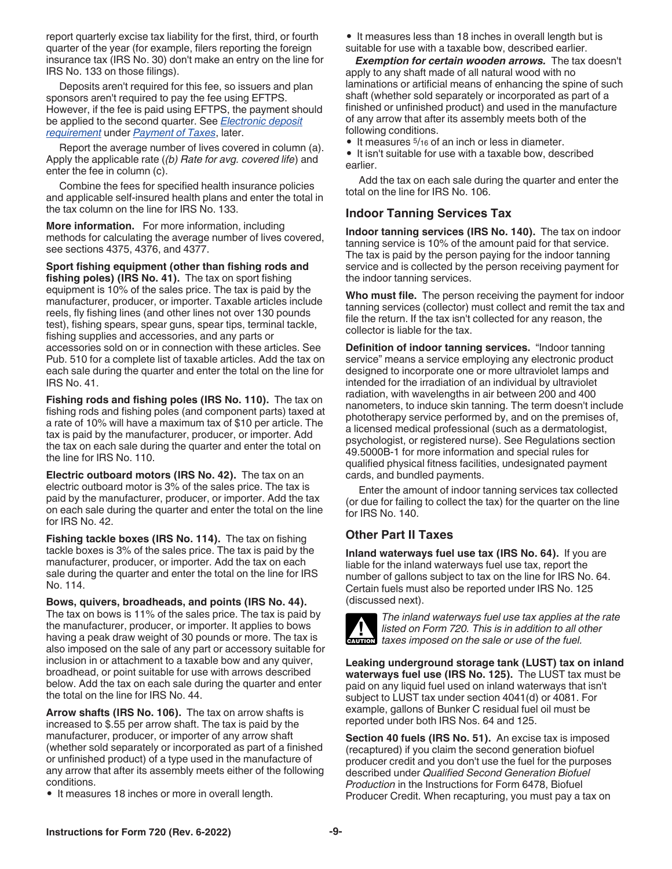<span id="page-8-0"></span>report quarterly excise tax liability for the first, third, or fourth quarter of the year (for example, filers reporting the foreign insurance tax (IRS No. 30) don't make an entry on the line for IRS No. 133 on those filings).

Deposits aren't required for this fee, so issuers and plan sponsors aren't required to pay the fee using EFTPS. However, if the fee is paid using EFTPS, the payment should be applied to the second quarter. See *[Electronic deposit](#page-9-0)  [requirement](#page-9-0)* under *[Payment of Taxes](#page-9-0)*, later.

Report the average number of lives covered in column (a). Apply the applicable rate (*(b) Rate for avg. covered life*) and enter the fee in column (c).

Combine the fees for specified health insurance policies and applicable self-insured health plans and enter the total in the tax column on the line for IRS No. 133.

**More information.** For more information, including methods for calculating the average number of lives covered, see sections 4375, 4376, and 4377.

**Sport fishing equipment (other than fishing rods and fishing poles) (IRS No. 41).** The tax on sport fishing equipment is 10% of the sales price. The tax is paid by the manufacturer, producer, or importer. Taxable articles include reels, fly fishing lines (and other lines not over 130 pounds test), fishing spears, spear guns, spear tips, terminal tackle, fishing supplies and accessories, and any parts or accessories sold on or in connection with these articles. See Pub. 510 for a complete list of taxable articles. Add the tax on each sale during the quarter and enter the total on the line for IRS No. 41.

**Fishing rods and fishing poles (IRS No. 110).** The tax on fishing rods and fishing poles (and component parts) taxed at a rate of 10% will have a maximum tax of \$10 per article. The tax is paid by the manufacturer, producer, or importer. Add the tax on each sale during the quarter and enter the total on the line for IRS No. 110.

**Electric outboard motors (IRS No. 42).** The tax on an electric outboard motor is 3% of the sales price. The tax is paid by the manufacturer, producer, or importer. Add the tax on each sale during the quarter and enter the total on the line for IRS No. 42.

**Fishing tackle boxes (IRS No. 114).** The tax on fishing tackle boxes is 3% of the sales price. The tax is paid by the manufacturer, producer, or importer. Add the tax on each sale during the quarter and enter the total on the line for IRS No. 114.

**Bows, quivers, broadheads, and points (IRS No. 44).** The tax on bows is 11% of the sales price. The tax is paid by the manufacturer, producer, or importer. It applies to bows having a peak draw weight of 30 pounds or more. The tax is also imposed on the sale of any part or accessory suitable for inclusion in or attachment to a taxable bow and any quiver, broadhead, or point suitable for use with arrows described below. Add the tax on each sale during the quarter and enter the total on the line for IRS No. 44.

**Arrow shafts (IRS No. 106).** The tax on arrow shafts is increased to \$.55 per arrow shaft. The tax is paid by the manufacturer, producer, or importer of any arrow shaft (whether sold separately or incorporated as part of a finished or unfinished product) of a type used in the manufacture of any arrow that after its assembly meets either of the following conditions.

• It measures 18 inches or more in overall length.

• It measures less than 18 inches in overall length but is

suitable for use with a taxable bow, described earlier.

*Exemption for certain wooden arrows.* The tax doesn't apply to any shaft made of all natural wood with no laminations or artificial means of enhancing the spine of such shaft (whether sold separately or incorporated as part of a finished or unfinished product) and used in the manufacture of any arrow that after its assembly meets both of the following conditions.

• It measures  $5/16$  of an inch or less in diameter.

• It isn't suitable for use with a taxable bow, described earlier.

Add the tax on each sale during the quarter and enter the total on the line for IRS No. 106.

### **Indoor Tanning Services Tax**

**Indoor tanning services (IRS No. 140).** The tax on indoor tanning service is 10% of the amount paid for that service. The tax is paid by the person paying for the indoor tanning service and is collected by the person receiving payment for the indoor tanning services.

**Who must file.** The person receiving the payment for indoor tanning services (collector) must collect and remit the tax and file the return. If the tax isn't collected for any reason, the collector is liable for the tax.

**Definition of indoor tanning services.** "Indoor tanning service" means a service employing any electronic product designed to incorporate one or more ultraviolet lamps and intended for the irradiation of an individual by ultraviolet radiation, with wavelengths in air between 200 and 400 nanometers, to induce skin tanning. The term doesn't include phototherapy service performed by, and on the premises of, a licensed medical professional (such as a dermatologist, psychologist, or registered nurse). See Regulations section 49.5000B-1 for more information and special rules for qualified physical fitness facilities, undesignated payment cards, and bundled payments.

Enter the amount of indoor tanning services tax collected (or due for failing to collect the tax) for the quarter on the line for IRS No. 140.

### **Other Part II Taxes**

**Inland waterways fuel use tax (IRS No. 64).** If you are liable for the inland waterways fuel use tax, report the number of gallons subject to tax on the line for IRS No. 64. Certain fuels must also be reported under IRS No. 125 (discussed next).



*The inland waterways fuel use tax applies at the rate listed on Form 720. This is in addition to all other taxes imposed on the sale or use of the fuel.*<br> **CAUTION** taxes imposed on the sale or use of the fuel.

**Leaking underground storage tank (LUST) tax on inland waterways fuel use (IRS No. 125).** The LUST tax must be paid on any liquid fuel used on inland waterways that isn't subject to LUST tax under section 4041(d) or 4081. For example, gallons of Bunker C residual fuel oil must be reported under both IRS Nos. 64 and 125.

**Section 40 fuels (IRS No. 51).** An excise tax is imposed (recaptured) if you claim the second generation biofuel producer credit and you don't use the fuel for the purposes described under *Qualified Second Generation Biofuel Production* in the Instructions for Form 6478, Biofuel Producer Credit. When recapturing, you must pay a tax on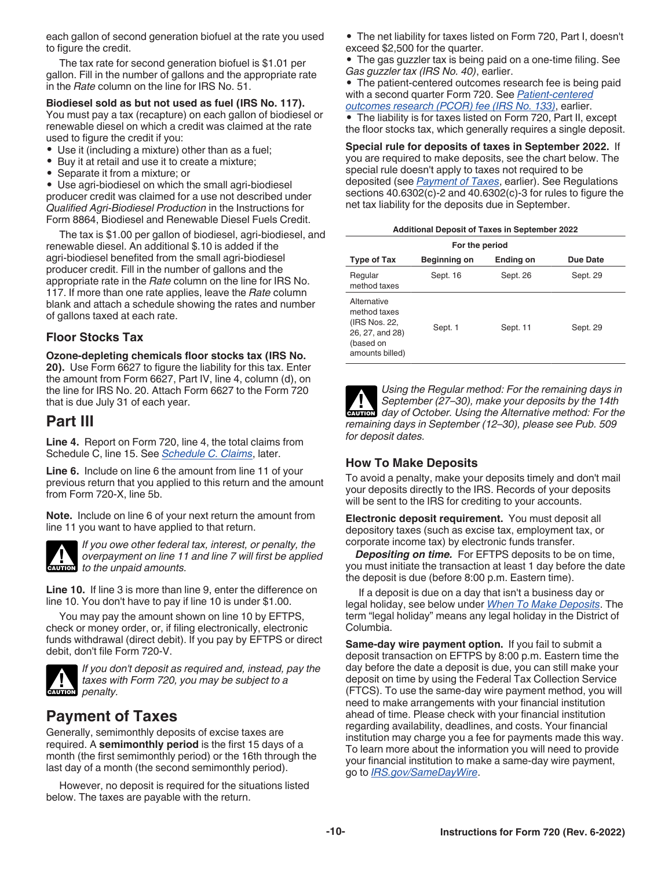<span id="page-9-0"></span>each gallon of second generation biofuel at the rate you used to figure the credit.

The tax rate for second generation biofuel is \$1.01 per gallon. Fill in the number of gallons and the appropriate rate in the *Rate* column on the line for IRS No. 51.

#### **Biodiesel sold as but not used as fuel (IRS No. 117).**

You must pay a tax (recapture) on each gallon of biodiesel or renewable diesel on which a credit was claimed at the rate used to figure the credit if you:

- Use it (including a mixture) other than as a fuel;
- Buy it at retail and use it to create a mixture;
- Separate it from a mixture; or

• Use agri-biodiesel on which the small agri-biodiesel producer credit was claimed for a use not described under *Qualified Agri-Biodiesel Production* in the Instructions for Form 8864, Biodiesel and Renewable Diesel Fuels Credit.

The tax is \$1.00 per gallon of biodiesel, agri-biodiesel, and renewable diesel. An additional \$.10 is added if the agri-biodiesel benefited from the small agri-biodiesel producer credit. Fill in the number of gallons and the appropriate rate in the *Rate* column on the line for IRS No. 117. If more than one rate applies, leave the *Rate* column blank and attach a schedule showing the rates and number of gallons taxed at each rate.

### **Floor Stocks Tax**

**Ozone-depleting chemicals floor stocks tax (IRS No.** 

**20).** Use Form 6627 to figure the liability for this tax. Enter the amount from Form 6627, Part IV, line 4, column (d), on the line for IRS No. 20. Attach Form 6627 to the Form 720 that is due July 31 of each year.

### **Part III**

**Line 4.** Report on Form 720, line 4, the total claims from Schedule C, line 15. See *[Schedule C. Claims](#page-11-0)*, later.

**Line 6.** Include on line 6 the amount from line 11 of your previous return that you applied to this return and the amount from Form 720-X, line 5b.

**Note.** Include on line 6 of your next return the amount from line 11 you want to have applied to that return.



*If you owe other federal tax, interest, or penalty, the overpayment on line 11 and line 7 will first be applied*  **caution** *to the unpaid amounts.* 

**Line 10.** If line 3 is more than line 9, enter the difference on line 10. You don't have to pay if line 10 is under \$1.00.

You may pay the amount shown on line 10 by EFTPS, check or money order, or, if filing electronically, electronic funds withdrawal (direct debit). If you pay by EFTPS or direct debit, don't file Form 720-V.



*If you don't deposit as required and, instead, pay the taxes with Form 720, you may be subject to a* 

# **Payment of Taxes**

Generally, semimonthly deposits of excise taxes are required. A **semimonthly period** is the first 15 days of a month (the first semimonthly period) or the 16th through the last day of a month (the second semimonthly period).

However, no deposit is required for the situations listed below. The taxes are payable with the return.

• The net liability for taxes listed on Form 720, Part I, doesn't exceed \$2,500 for the quarter.

• The gas guzzler tax is being paid on a one-time filing. See *Gas guzzler tax (IRS No. 40)*, earlier.

• The patient-centered outcomes research fee is being paid with a second quarter Form 720. See *[Patient-centered](#page-7-0)  [outcomes research \(PCOR\) fee \(IRS No. 133\)](#page-7-0)*, earlier.

• The liability is for taxes listed on Form 720, Part II, except the floor stocks tax, which generally requires a single deposit.

**Special rule for deposits of taxes in September 2022.** If you are required to make deposits, see the chart below. The special rule doesn't apply to taxes not required to be deposited (see *Payment of Taxes*, earlier). See Regulations sections 40.6302(c)-2 and 40.6302(c)-3 for rules to figure the net tax liability for the deposits due in September.

| <b>Additional Deposit of Taxes in September 2022</b> |  |  |  |
|------------------------------------------------------|--|--|--|
|                                                      |  |  |  |

| For the period                                                                                  |              |           |          |  |
|-------------------------------------------------------------------------------------------------|--------------|-----------|----------|--|
| <b>Type of Tax</b>                                                                              | Beginning on | Ending on | Due Date |  |
| Regular<br>method taxes                                                                         | Sept. 16     | Sept. 26  | Sept. 29 |  |
| Alternative<br>method taxes<br>(IRS Nos. 22,<br>26, 27, and 28)<br>(based on<br>amounts billed) | Sept. 1      | Sept. 11  | Sept. 29 |  |

*Using the Regular method: For the remaining days in September (27–30), make your deposits by the 14th*  **day of October.** Using the Alternative method: For the **Property** day of October. Using the Alternative method: For the *remaining days in September (12–30), please see Pub. 509 for deposit dates.*

### **How To Make Deposits**

To avoid a penalty, make your deposits timely and don't mail your deposits directly to the IRS. Records of your deposits will be sent to the IRS for crediting to your accounts.

**Electronic deposit requirement.** You must deposit all depository taxes (such as excise tax, employment tax, or corporate income tax) by electronic funds transfer.

*Depositing on time.* For EFTPS deposits to be on time, you must initiate the transaction at least 1 day before the date the deposit is due (before 8:00 p.m. Eastern time).

If a deposit is due on a day that isn't a business day or legal holiday, see below under *[When To Make Deposits](#page-10-0)*. The term "legal holiday" means any legal holiday in the District of Columbia.

**Same-day wire payment option.** If you fail to submit a deposit transaction on EFTPS by 8:00 p.m. Eastern time the day before the date a deposit is due, you can still make your deposit on time by using the Federal Tax Collection Service (FTCS). To use the same-day wire payment method, you will need to make arrangements with your financial institution ahead of time. Please check with your financial institution regarding availability, deadlines, and costs. Your financial institution may charge you a fee for payments made this way. To learn more about the information you will need to provide your financial institution to make a same-day wire payment, go to *[IRS.gov/SameDayWire](https://www.irs.gov/samedaywire)*.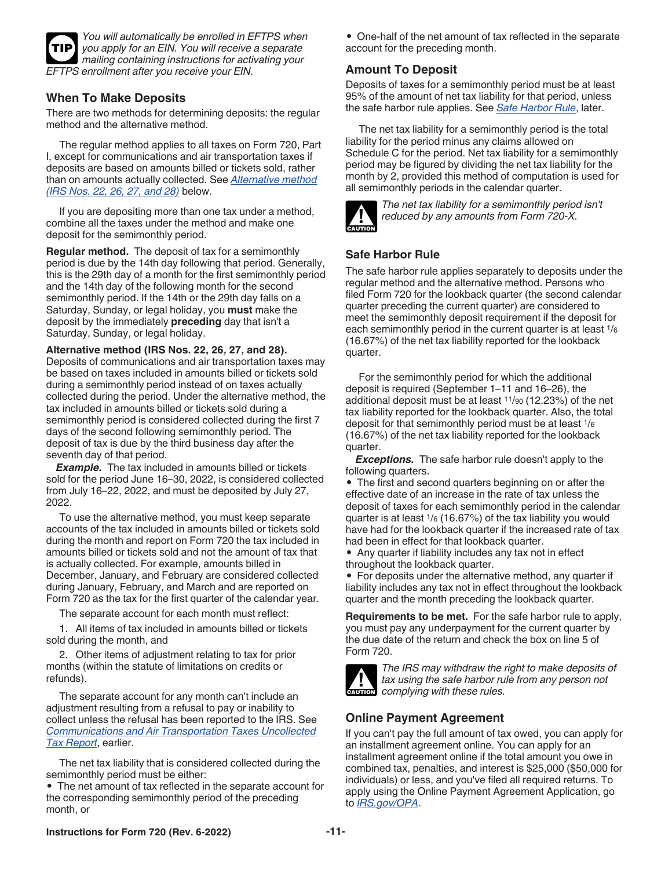<span id="page-10-0"></span>

*You will automatically be enrolled in EFTPS when you apply for an EIN. You will receive a separate mailing containing instructions for activating your EFTPS enrollment after you receive your EIN.*

### **When To Make Deposits**

There are two methods for determining deposits: the regular method and the alternative method.

The regular method applies to all taxes on Form 720, Part I, except for communications and air transportation taxes if deposits are based on amounts billed or tickets sold, rather than on amounts actually collected. See *Alternative method (IRS Nos. 22, 26, 27, and 28)* below.

If you are depositing more than one tax under a method, combine all the taxes under the method and make one deposit for the semimonthly period.

**Regular method.** The deposit of tax for a semimonthly period is due by the 14th day following that period. Generally, this is the 29th day of a month for the first semimonthly period and the 14th day of the following month for the second semimonthly period. If the 14th or the 29th day falls on a Saturday, Sunday, or legal holiday, you **must** make the deposit by the immediately **preceding** day that isn't a Saturday, Sunday, or legal holiday.

**Alternative method (IRS Nos. 22, 26, 27, and 28).**  Deposits of communications and air transportation taxes may be based on taxes included in amounts billed or tickets sold during a semimonthly period instead of on taxes actually collected during the period. Under the alternative method, the tax included in amounts billed or tickets sold during a semimonthly period is considered collected during the first 7 days of the second following semimonthly period. The deposit of tax is due by the third business day after the seventh day of that period.

*Example.* The tax included in amounts billed or tickets sold for the period June 16–30, 2022, is considered collected from July 16–22, 2022, and must be deposited by July 27, 2022.

To use the alternative method, you must keep separate accounts of the tax included in amounts billed or tickets sold during the month and report on Form 720 the tax included in amounts billed or tickets sold and not the amount of tax that is actually collected. For example, amounts billed in December, January, and February are considered collected during January, February, and March and are reported on Form 720 as the tax for the first quarter of the calendar year.

The separate account for each month must reflect:

1. All items of tax included in amounts billed or tickets sold during the month, and

2. Other items of adjustment relating to tax for prior months (within the statute of limitations on credits or refunds).

The separate account for any month can't include an adjustment resulting from a refusal to pay or inability to collect unless the refusal has been reported to the IRS. See *[Communications and Air Transportation Taxes Uncollected](#page-3-0) [Tax Report](#page-3-0)*, earlier.

The net tax liability that is considered collected during the semimonthly period must be either:

• The net amount of tax reflected in the separate account for the corresponding semimonthly period of the preceding month, or

• One-half of the net amount of tax reflected in the separate account for the preceding month.

### **Amount To Deposit**

Deposits of taxes for a semimonthly period must be at least 95% of the amount of net tax liability for that period, unless the safe harbor rule applies. See *Safe Harbor Rule*, later.

The net tax liability for a semimonthly period is the total liability for the period minus any claims allowed on Schedule C for the period. Net tax liability for a semimonthly period may be figured by dividing the net tax liability for the month by 2, provided this method of computation is used for all semimonthly periods in the calendar quarter.



*The net tax liability for a semimonthly period isn't reduced by any amounts from Form 720-X.*

### **Safe Harbor Rule**

The safe harbor rule applies separately to deposits under the regular method and the alternative method. Persons who filed Form 720 for the lookback quarter (the second calendar quarter preceding the current quarter) are considered to meet the semimonthly deposit requirement if the deposit for each semimonthly period in the current quarter is at least 1/<sup>6</sup> (16.67%) of the net tax liability reported for the lookback quarter.

For the semimonthly period for which the additional deposit is required (September 1–11 and 16–26), the additional deposit must be at least 11/90 (12.23%) of the net tax liability reported for the lookback quarter. Also, the total deposit for that semimonthly period must be at least 1/<sup>6</sup> (16.67%) of the net tax liability reported for the lookback quarter.

*Exceptions.* The safe harbor rule doesn't apply to the following quarters.

• The first and second quarters beginning on or after the effective date of an increase in the rate of tax unless the deposit of taxes for each semimonthly period in the calendar quarter is at least 1/6 (16.67%) of the tax liability you would have had for the lookback quarter if the increased rate of tax had been in effect for that lookback quarter.

• Any quarter if liability includes any tax not in effect throughout the lookback quarter.

• For deposits under the alternative method, any quarter if liability includes any tax not in effect throughout the lookback quarter and the month preceding the lookback quarter.

**Requirements to be met.** For the safe harbor rule to apply, you must pay any underpayment for the current quarter by the due date of the return and check the box on line 5 of Form 720.



*The IRS may withdraw the right to make deposits of tax using the safe harbor rule from any person not*  **caution** *complying with these rules.* 

### **Online Payment Agreement**

If you can't pay the full amount of tax owed, you can apply for an installment agreement online. You can apply for an installment agreement online if the total amount you owe in combined tax, penalties, and interest is \$25,000 (\$50,000 for individuals) or less, and you've filed all required returns. To apply using the Online Payment Agreement Application, go to *[IRS.gov/OPA](https://www.irs.gov/opa)*.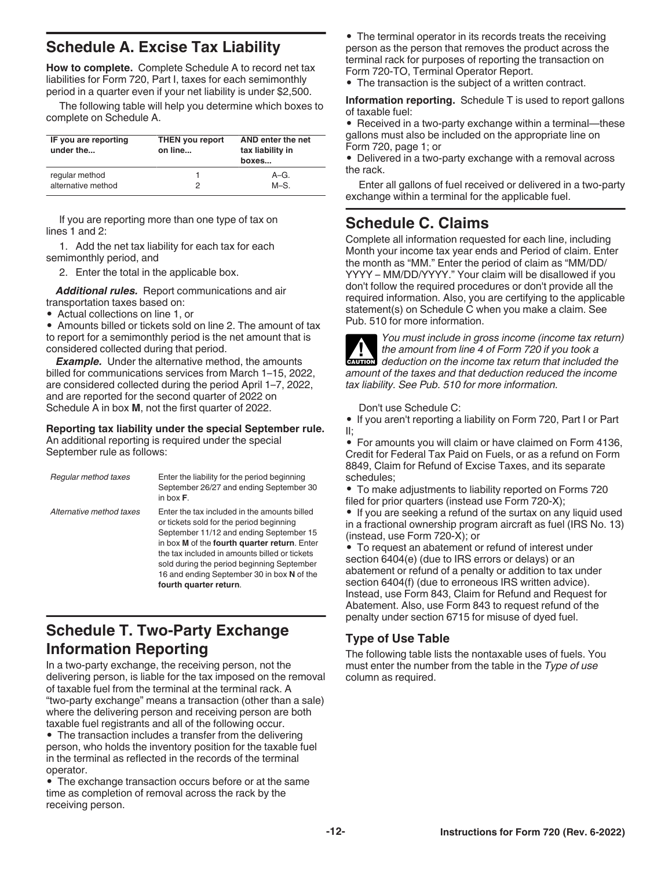# <span id="page-11-0"></span>**Schedule A. Excise Tax Liability**

**How to complete.** Complete Schedule A to record net tax liabilities for Form 720, Part I, taxes for each semimonthly period in a quarter even if your net liability is under \$2,500.

The following table will help you determine which boxes to complete on Schedule A.

| IF you are reporting<br>under the | <b>THEN you report</b><br>on line | AND enter the net<br>tax liability in<br>boxes |
|-----------------------------------|-----------------------------------|------------------------------------------------|
| regular method                    |                                   | $A-G.$                                         |
| alternative method                |                                   | $M-S$ .                                        |

If you are reporting more than one type of tax on lines 1 and 2:

1. Add the net tax liability for each tax for each semimonthly period, and

2. Enter the total in the applicable box.

*Additional rules.* Report communications and air transportation taxes based on:

• Actual collections on line 1, or

• Amounts billed or tickets sold on line 2. The amount of tax to report for a semimonthly period is the net amount that is considered collected during that period.

**Example.** Under the alternative method, the amounts billed for communications services from March 1–15, 2022, are considered collected during the period April 1–7, 2022, and are reported for the second quarter of 2022 on Schedule A in box **M**, not the first quarter of 2022.

**Reporting tax liability under the special September rule.**  An additional reporting is required under the special September rule as follows:

| Regular method taxes     | Enter the liability for the period beginning<br>September 26/27 and ending September 30<br>in box $F$ .                                                                                                                                                                                                                                                    |
|--------------------------|------------------------------------------------------------------------------------------------------------------------------------------------------------------------------------------------------------------------------------------------------------------------------------------------------------------------------------------------------------|
| Alternative method taxes | Enter the tax included in the amounts billed<br>or tickets sold for the period beginning<br>September 11/12 and ending September 15<br>in box M of the fourth quarter return. Enter<br>the tax included in amounts billed or tickets<br>sold during the period beginning September<br>16 and ending September 30 in box N of the<br>fourth quarter return. |

# **Schedule T. Two-Party Exchange Information Reporting**

In a two-party exchange, the receiving person, not the delivering person, is liable for the tax imposed on the removal of taxable fuel from the terminal at the terminal rack. A "two-party exchange" means a transaction (other than a sale) where the delivering person and receiving person are both taxable fuel registrants and all of the following occur.

• The transaction includes a transfer from the delivering person, who holds the inventory position for the taxable fuel in the terminal as reflected in the records of the terminal operator.

• The exchange transaction occurs before or at the same time as completion of removal across the rack by the receiving person.

• The terminal operator in its records treats the receiving person as the person that removes the product across the terminal rack for purposes of reporting the transaction on Form 720-TO, Terminal Operator Report.

• The transaction is the subject of a written contract.

**Information reporting.** Schedule T is used to report gallons of taxable fuel:

• Received in a two-party exchange within a terminal—these gallons must also be included on the appropriate line on Form 720, page 1; or

• Delivered in a two-party exchange with a removal across the rack.

Enter all gallons of fuel received or delivered in a two-party exchange within a terminal for the applicable fuel.

### **Schedule C. Claims**

Complete all information requested for each line, including Month your income tax year ends and Period of claim. Enter the month as "MM." Enter the period of claim as "MM/DD/ YYYY – MM/DD/YYYY." Your claim will be disallowed if you don't follow the required procedures or don't provide all the required information. Also, you are certifying to the applicable statement(s) on Schedule C when you make a claim. See Pub. 510 for more information.



*You must include in gross income (income tax return) the amount from line 4 of Form 720 if you took a*  **deduction on the income tax return that included the <b>CAUTION** *amount of the taxes and that deduction reduced the income tax liability. See Pub. 510 for more information.*

Don't use Schedule C:

• If you aren't reporting a liability on Form 720, Part I or Part II;

• For amounts you will claim or have claimed on Form 4136, Credit for Federal Tax Paid on Fuels, or as a refund on Form 8849, Claim for Refund of Excise Taxes, and its separate schedules;

• To make adjustments to liability reported on Forms 720 filed for prior quarters (instead use Form 720-X);

• If you are seeking a refund of the surtax on any liquid used in a fractional ownership program aircraft as fuel (IRS No. 13) (instead, use Form 720-X); or

• To request an abatement or refund of interest under section 6404(e) (due to IRS errors or delays) or an abatement or refund of a penalty or addition to tax under section 6404(f) (due to erroneous IRS written advice). Instead, use Form 843, Claim for Refund and Request for Abatement. Also, use Form 843 to request refund of the penalty under section 6715 for misuse of dyed fuel.

### **Type of Use Table**

The following table lists the nontaxable uses of fuels. You must enter the number from the table in the *Type of use*  column as required.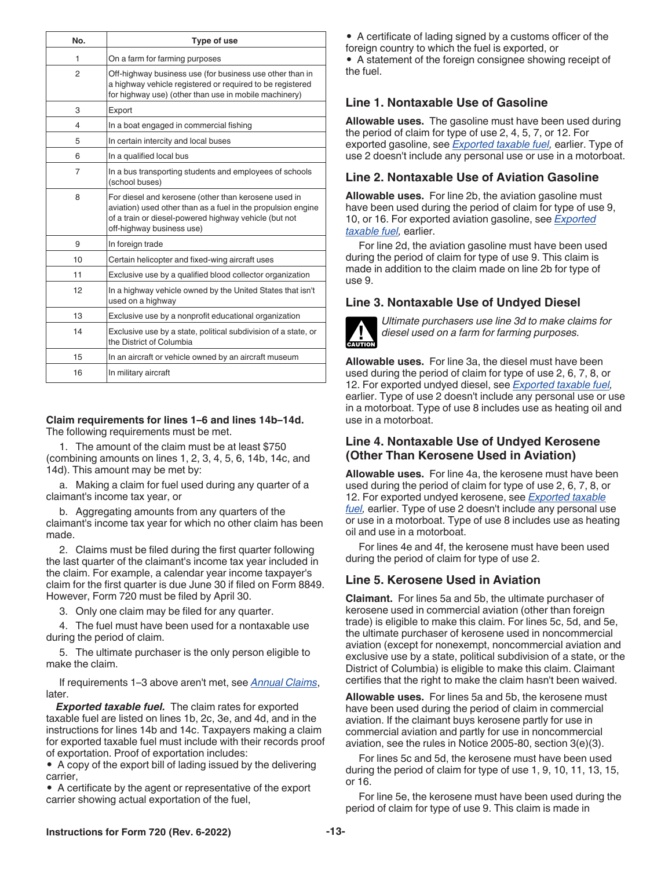<span id="page-12-0"></span>

| No. | Type of use                                                                                                                                                                                                |
|-----|------------------------------------------------------------------------------------------------------------------------------------------------------------------------------------------------------------|
| 1   | On a farm for farming purposes                                                                                                                                                                             |
| 2   | Off-highway business use (for business use other than in<br>a highway vehicle registered or required to be registered<br>for highway use) (other than use in mobile machinery)                             |
| 3   | Export                                                                                                                                                                                                     |
| 4   | In a boat engaged in commercial fishing                                                                                                                                                                    |
| 5   | In certain intercity and local buses                                                                                                                                                                       |
| 6   | In a qualified local bus                                                                                                                                                                                   |
| 7   | In a bus transporting students and employees of schools<br>(school buses)                                                                                                                                  |
| 8   | For diesel and kerosene (other than kerosene used in<br>aviation) used other than as a fuel in the propulsion engine<br>of a train or diesel-powered highway vehicle (but not<br>off-highway business use) |
| 9   | In foreign trade                                                                                                                                                                                           |
| 10  | Certain helicopter and fixed-wing aircraft uses                                                                                                                                                            |
| 11  | Exclusive use by a qualified blood collector organization                                                                                                                                                  |
| 12  | In a highway vehicle owned by the United States that isn't<br>used on a highway                                                                                                                            |
| 13  | Exclusive use by a nonprofit educational organization                                                                                                                                                      |
| 14  | Exclusive use by a state, political subdivision of a state, or<br>the District of Columbia                                                                                                                 |
| 15  | In an aircraft or vehicle owned by an aircraft museum                                                                                                                                                      |
| 16  | In military aircraft                                                                                                                                                                                       |

#### **Claim requirements for lines 1–6 and lines 14b–14d.**  The following requirements must be met.

1. The amount of the claim must be at least \$750 (combining amounts on lines 1, 2, 3, 4, 5, 6, 14b, 14c, and 14d). This amount may be met by:

a. Making a claim for fuel used during any quarter of a claimant's income tax year, or

b. Aggregating amounts from any quarters of the claimant's income tax year for which no other claim has been made.

2. Claims must be filed during the first quarter following the last quarter of the claimant's income tax year included in the claim. For example, a calendar year income taxpayer's claim for the first quarter is due June 30 if filed on Form 8849. However, Form 720 must be filed by April 30.

3. Only one claim may be filed for any quarter.

4. The fuel must have been used for a nontaxable use during the period of claim.

5. The ultimate purchaser is the only person eligible to make the claim.

If requirements 1–3 above aren't met, see *Annual Claims*, later.

*Exported taxable fuel.* The claim rates for exported taxable fuel are listed on lines 1b, 2c, 3e, and 4d, and in the instructions for lines 14b and 14c. Taxpayers making a claim for exported taxable fuel must include with their records proof of exportation. Proof of exportation includes:

• A copy of the export bill of lading issued by the delivering carrier,

• A certificate by the agent or representative of the export carrier showing actual exportation of the fuel,

• A certificate of lading signed by a customs officer of the foreign country to which the fuel is exported, or • A statement of the foreign consignee showing receipt of the fuel.

### **Line 1. Nontaxable Use of Gasoline**

**Allowable uses.** The gasoline must have been used during the period of claim for type of use 2, 4, 5, 7, or 12. For exported gasoline, see *Exported taxable fuel,* earlier. Type of use 2 doesn't include any personal use or use in a motorboat.

#### **Line 2. Nontaxable Use of Aviation Gasoline**

**Allowable uses.** For line 2b, the aviation gasoline must have been used during the period of claim for type of use 9, 10, or 16. For exported aviation gasoline, see *Exported taxable fuel,* earlier.

For line 2d, the aviation gasoline must have been used during the period of claim for type of use 9. This claim is made in addition to the claim made on line 2b for type of use 9.

### **Line 3. Nontaxable Use of Undyed Diesel**



*Ultimate purchasers use line 3d to make claims for diesel used on a farm for farming purposes.*

**Allowable uses.** For line 3a, the diesel must have been used during the period of claim for type of use 2, 6, 7, 8, or 12. For exported undyed diesel, see *Exported taxable fuel,*  earlier. Type of use 2 doesn't include any personal use or use in a motorboat. Type of use 8 includes use as heating oil and use in a motorboat.

### **Line 4. Nontaxable Use of Undyed Kerosene (Other Than Kerosene Used in Aviation)**

**Allowable uses.** For line 4a, the kerosene must have been used during the period of claim for type of use 2, 6, 7, 8, or 12. For exported undyed kerosene, see *Exported taxable fuel,* earlier. Type of use 2 doesn't include any personal use or use in a motorboat. Type of use 8 includes use as heating oil and use in a motorboat.

For lines 4e and 4f, the kerosene must have been used during the period of claim for type of use 2.

#### **Line 5. Kerosene Used in Aviation**

**Claimant.** For lines 5a and 5b, the ultimate purchaser of kerosene used in commercial aviation (other than foreign trade) is eligible to make this claim. For lines 5c, 5d, and 5e, the ultimate purchaser of kerosene used in noncommercial aviation (except for nonexempt, noncommercial aviation and exclusive use by a state, political subdivision of a state, or the District of Columbia) is eligible to make this claim. Claimant certifies that the right to make the claim hasn't been waived.

**Allowable uses.** For lines 5a and 5b, the kerosene must have been used during the period of claim in commercial aviation. If the claimant buys kerosene partly for use in commercial aviation and partly for use in noncommercial aviation, see the rules in Notice 2005-80, section 3(e)(3).

For lines 5c and 5d, the kerosene must have been used during the period of claim for type of use 1, 9, 10, 11, 13, 15, or 16.

For line 5e, the kerosene must have been used during the period of claim for type of use 9. This claim is made in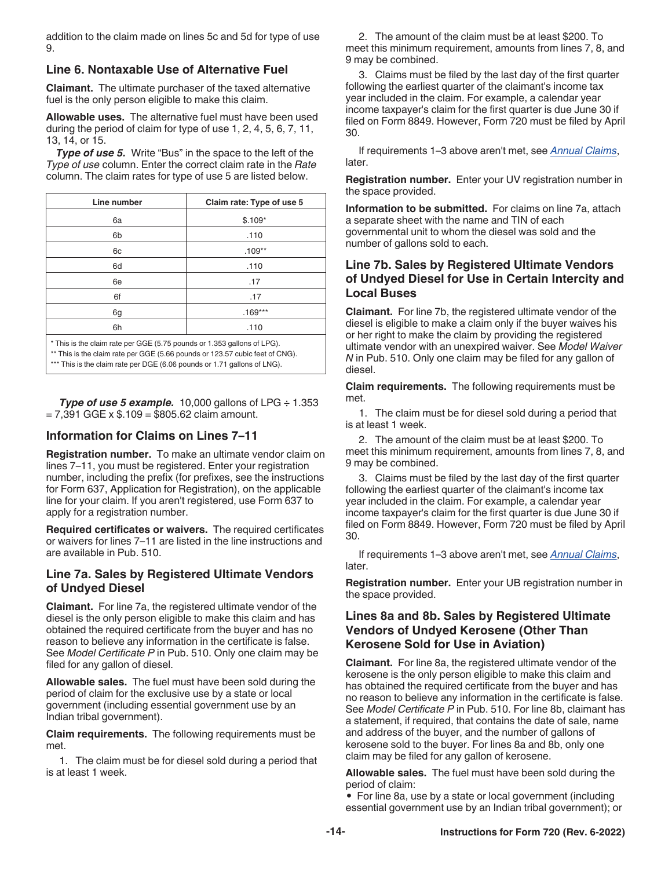addition to the claim made on lines 5c and 5d for type of use 9.

### **Line 6. Nontaxable Use of Alternative Fuel**

**Claimant.** The ultimate purchaser of the taxed alternative fuel is the only person eligible to make this claim.

**Allowable uses.** The alternative fuel must have been used during the period of claim for type of use 1, 2, 4, 5, 6, 7, 11, 13, 14, or 15.

**Type of use 5.** Write "Bus" in the space to the left of the *Type of use* column. Enter the correct claim rate in the *Rate*  column. The claim rates for type of use 5 are listed below.

| Line number                                                             | Claim rate: Type of use 5 |  |
|-------------------------------------------------------------------------|---------------------------|--|
| 6a                                                                      | $$.109*$                  |  |
| 6b                                                                      | .110                      |  |
| 6c                                                                      | $.109**$                  |  |
| 6d                                                                      | .110                      |  |
| 6e                                                                      | .17                       |  |
| 6f                                                                      | .17                       |  |
| 6g                                                                      | $.169***$                 |  |
| 6h                                                                      | .110                      |  |
| * This is the claim rate per GGE (5.75 pounds or 1.353 gallons of LPG). |                           |  |

\*\* This is the claim rate per GGE (5.66 pounds or 123.57 cubic feet of CNG). \*\*\* This is the claim rate per DGE (6.06 pounds or 1.71 gallons of LNG).

*Type of use 5 example.* 10,000 gallons of LPG ÷ 1.353  $= 7,391$  GGE x  $$.109 = $805.62$  claim amount.

### **Information for Claims on Lines 7–11**

**Registration number.** To make an ultimate vendor claim on lines 7–11, you must be registered. Enter your registration number, including the prefix (for prefixes, see the instructions for Form 637, Application for Registration), on the applicable line for your claim. If you aren't registered, use Form 637 to apply for a registration number.

**Required certificates or waivers.** The required certificates or waivers for lines 7–11 are listed in the line instructions and are available in Pub. 510.

### **Line 7a. Sales by Registered Ultimate Vendors of Undyed Diesel**

**Claimant.** For line 7a, the registered ultimate vendor of the diesel is the only person eligible to make this claim and has obtained the required certificate from the buyer and has no reason to believe any information in the certificate is false. See *Model Certificate P* in Pub. 510. Only one claim may be filed for any gallon of diesel.

**Allowable sales.** The fuel must have been sold during the period of claim for the exclusive use by a state or local government (including essential government use by an Indian tribal government).

**Claim requirements.** The following requirements must be met.

1. The claim must be for diesel sold during a period that is at least 1 week.

2. The amount of the claim must be at least \$200. To meet this minimum requirement, amounts from lines 7, 8, and 9 may be combined.

3. Claims must be filed by the last day of the first quarter following the earliest quarter of the claimant's income tax year included in the claim. For example, a calendar year income taxpayer's claim for the first quarter is due June 30 if filed on Form 8849. However, Form 720 must be filed by April 30.

If requirements 1–3 above aren't met, see *Annual Claims*, later.

**Registration number.** Enter your UV registration number in the space provided.

**Information to be submitted.** For claims on line 7a, attach a separate sheet with the name and TIN of each governmental unit to whom the diesel was sold and the number of gallons sold to each.

### **Line 7b. Sales by Registered Ultimate Vendors of Undyed Diesel for Use in Certain Intercity and Local Buses**

**Claimant.** For line 7b, the registered ultimate vendor of the diesel is eligible to make a claim only if the buyer waives his or her right to make the claim by providing the registered ultimate vendor with an unexpired waiver. See *Model Waiver N* in Pub. 510. Only one claim may be filed for any gallon of diesel.

**Claim requirements.** The following requirements must be met.

1. The claim must be for diesel sold during a period that is at least 1 week.

2. The amount of the claim must be at least \$200. To meet this minimum requirement, amounts from lines 7, 8, and 9 may be combined.

3. Claims must be filed by the last day of the first quarter following the earliest quarter of the claimant's income tax year included in the claim. For example, a calendar year income taxpayer's claim for the first quarter is due June 30 if filed on Form 8849. However, Form 720 must be filed by April 30.

If requirements 1–3 above aren't met, see *Annual Claims*, later.

**Registration number.** Enter your UB registration number in the space provided.

### **Lines 8a and 8b. Sales by Registered Ultimate Vendors of Undyed Kerosene (Other Than Kerosene Sold for Use in Aviation)**

**Claimant.** For line 8a, the registered ultimate vendor of the kerosene is the only person eligible to make this claim and has obtained the required certificate from the buyer and has no reason to believe any information in the certificate is false. See *Model Certificate P* in Pub. 510. For line 8b, claimant has a statement, if required, that contains the date of sale, name and address of the buyer, and the number of gallons of kerosene sold to the buyer. For lines 8a and 8b, only one claim may be filed for any gallon of kerosene.

**Allowable sales.** The fuel must have been sold during the period of claim:

• For line 8a, use by a state or local government (including essential government use by an Indian tribal government); or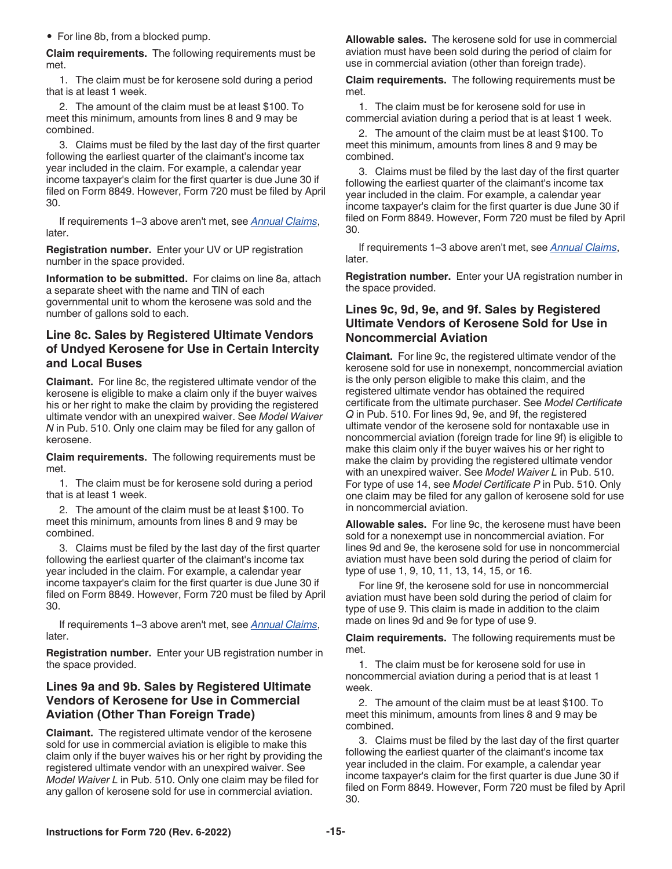• For line 8b, from a blocked pump.

**Claim requirements.** The following requirements must be met.

1. The claim must be for kerosene sold during a period that is at least 1 week.

2. The amount of the claim must be at least \$100. To meet this minimum, amounts from lines 8 and 9 may be combined.

3. Claims must be filed by the last day of the first quarter following the earliest quarter of the claimant's income tax year included in the claim. For example, a calendar year income taxpayer's claim for the first quarter is due June 30 if filed on Form 8849. However, Form 720 must be filed by April 30.

If requirements 1–3 above aren't met, see *Annual Claims*, later.

**Registration number.** Enter your UV or UP registration number in the space provided.

**Information to be submitted.** For claims on line 8a, attach a separate sheet with the name and TIN of each governmental unit to whom the kerosene was sold and the number of gallons sold to each.

### **Line 8c. Sales by Registered Ultimate Vendors of Undyed Kerosene for Use in Certain Intercity and Local Buses**

**Claimant.** For line 8c, the registered ultimate vendor of the kerosene is eligible to make a claim only if the buyer waives his or her right to make the claim by providing the registered ultimate vendor with an unexpired waiver. See *Model Waiver N* in Pub. 510. Only one claim may be filed for any gallon of kerosene.

**Claim requirements.** The following requirements must be met.

1. The claim must be for kerosene sold during a period that is at least 1 week.

2. The amount of the claim must be at least \$100. To meet this minimum, amounts from lines 8 and 9 may be combined.

3. Claims must be filed by the last day of the first quarter following the earliest quarter of the claimant's income tax year included in the claim. For example, a calendar year income taxpayer's claim for the first quarter is due June 30 if filed on Form 8849. However, Form 720 must be filed by April 30.

If requirements 1–3 above aren't met, see *Annual Claims*, later.

**Registration number.** Enter your UB registration number in the space provided.

### **Lines 9a and 9b. Sales by Registered Ultimate Vendors of Kerosene for Use in Commercial Aviation (Other Than Foreign Trade)**

**Claimant.** The registered ultimate vendor of the kerosene sold for use in commercial aviation is eligible to make this claim only if the buyer waives his or her right by providing the registered ultimate vendor with an unexpired waiver. See *Model Waiver L* in Pub. 510. Only one claim may be filed for any gallon of kerosene sold for use in commercial aviation.

**Allowable sales.** The kerosene sold for use in commercial aviation must have been sold during the period of claim for use in commercial aviation (other than foreign trade).

**Claim requirements.** The following requirements must be met.

1. The claim must be for kerosene sold for use in commercial aviation during a period that is at least 1 week.

2. The amount of the claim must be at least \$100. To meet this minimum, amounts from lines 8 and 9 may be combined.

3. Claims must be filed by the last day of the first quarter following the earliest quarter of the claimant's income tax year included in the claim. For example, a calendar year income taxpayer's claim for the first quarter is due June 30 if filed on Form 8849. However, Form 720 must be filed by April 30.

If requirements 1–3 above aren't met, see *Annual Claims*, later.

**Registration number.** Enter your UA registration number in the space provided.

### **Lines 9c, 9d, 9e, and 9f. Sales by Registered Ultimate Vendors of Kerosene Sold for Use in Noncommercial Aviation**

**Claimant.** For line 9c, the registered ultimate vendor of the kerosene sold for use in nonexempt, noncommercial aviation is the only person eligible to make this claim, and the registered ultimate vendor has obtained the required certificate from the ultimate purchaser. See *Model Certificate Q* in Pub. 510. For lines 9d, 9e, and 9f, the registered ultimate vendor of the kerosene sold for nontaxable use in noncommercial aviation (foreign trade for line 9f) is eligible to make this claim only if the buyer waives his or her right to make the claim by providing the registered ultimate vendor with an unexpired waiver. See *Model Waiver L* in Pub. 510. For type of use 14, see *Model Certificate P* in Pub. 510. Only one claim may be filed for any gallon of kerosene sold for use in noncommercial aviation.

**Allowable sales.** For line 9c, the kerosene must have been sold for a nonexempt use in noncommercial aviation. For lines 9d and 9e, the kerosene sold for use in noncommercial aviation must have been sold during the period of claim for type of use 1, 9, 10, 11, 13, 14, 15, or 16.

For line 9f, the kerosene sold for use in noncommercial aviation must have been sold during the period of claim for type of use 9. This claim is made in addition to the claim made on lines 9d and 9e for type of use 9.

**Claim requirements.** The following requirements must be met.

1. The claim must be for kerosene sold for use in noncommercial aviation during a period that is at least 1 week.

2. The amount of the claim must be at least \$100. To meet this minimum, amounts from lines 8 and 9 may be combined.

3. Claims must be filed by the last day of the first quarter following the earliest quarter of the claimant's income tax year included in the claim. For example, a calendar year income taxpayer's claim for the first quarter is due June 30 if filed on Form 8849. However, Form 720 must be filed by April 30.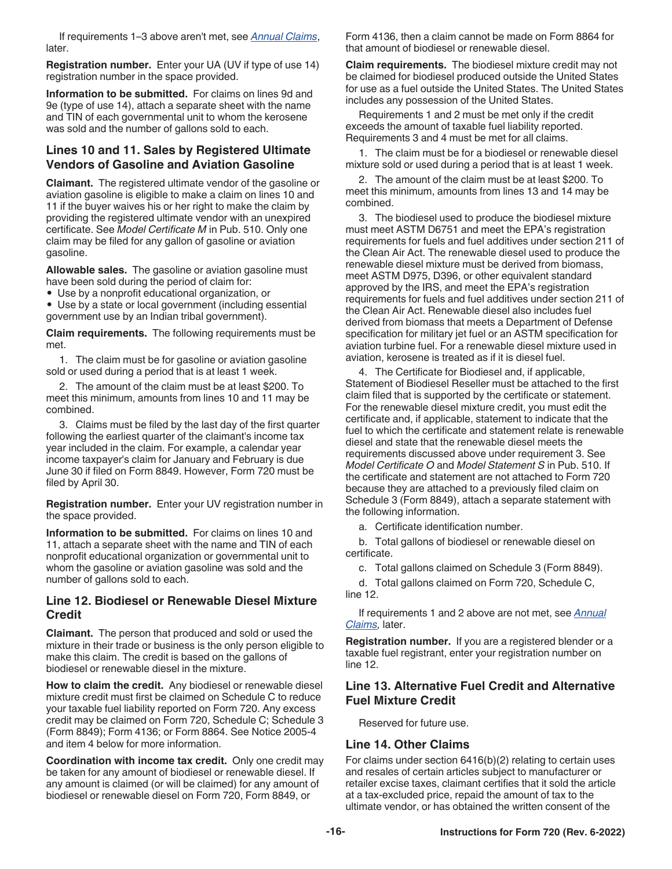If requirements 1–3 above aren't met, see *Annual Claims*, later.

**Registration number.** Enter your UA (UV if type of use 14) registration number in the space provided.

**Information to be submitted.** For claims on lines 9d and 9e (type of use 14), attach a separate sheet with the name and TIN of each governmental unit to whom the kerosene was sold and the number of gallons sold to each.

### **Lines 10 and 11. Sales by Registered Ultimate Vendors of Gasoline and Aviation Gasoline**

**Claimant.** The registered ultimate vendor of the gasoline or aviation gasoline is eligible to make a claim on lines 10 and 11 if the buyer waives his or her right to make the claim by providing the registered ultimate vendor with an unexpired certificate. See *Model Certificate M* in Pub. 510. Only one claim may be filed for any gallon of gasoline or aviation gasoline.

**Allowable sales.** The gasoline or aviation gasoline must have been sold during the period of claim for:

• Use by a nonprofit educational organization, or

• Use by a state or local government (including essential government use by an Indian tribal government).

**Claim requirements.** The following requirements must be met.

1. The claim must be for gasoline or aviation gasoline sold or used during a period that is at least 1 week.

2. The amount of the claim must be at least \$200. To meet this minimum, amounts from lines 10 and 11 may be combined.

3. Claims must be filed by the last day of the first quarter following the earliest quarter of the claimant's income tax year included in the claim. For example, a calendar year income taxpayer's claim for January and February is due June 30 if filed on Form 8849. However, Form 720 must be filed by April 30.

**Registration number.** Enter your UV registration number in the space provided.

**Information to be submitted.** For claims on lines 10 and 11, attach a separate sheet with the name and TIN of each nonprofit educational organization or governmental unit to whom the gasoline or aviation gasoline was sold and the number of gallons sold to each.

### **Line 12. Biodiesel or Renewable Diesel Mixture Credit**

**Claimant.** The person that produced and sold or used the mixture in their trade or business is the only person eligible to make this claim. The credit is based on the gallons of biodiesel or renewable diesel in the mixture.

**How to claim the credit.** Any biodiesel or renewable diesel mixture credit must first be claimed on Schedule C to reduce your taxable fuel liability reported on Form 720. Any excess credit may be claimed on Form 720, Schedule C; Schedule 3 (Form 8849); Form 4136; or Form 8864. See Notice 2005-4 and item 4 below for more information.

**Coordination with income tax credit.** Only one credit may be taken for any amount of biodiesel or renewable diesel. If any amount is claimed (or will be claimed) for any amount of biodiesel or renewable diesel on Form 720, Form 8849, or

Form 4136, then a claim cannot be made on Form 8864 for that amount of biodiesel or renewable diesel.

**Claim requirements.** The biodiesel mixture credit may not be claimed for biodiesel produced outside the United States for use as a fuel outside the United States. The United States includes any possession of the United States.

Requirements 1 and 2 must be met only if the credit exceeds the amount of taxable fuel liability reported. Requirements 3 and 4 must be met for all claims.

1. The claim must be for a biodiesel or renewable diesel mixture sold or used during a period that is at least 1 week.

2. The amount of the claim must be at least \$200. To meet this minimum, amounts from lines 13 and 14 may be combined.

3. The biodiesel used to produce the biodiesel mixture must meet ASTM D6751 and meet the EPA's registration requirements for fuels and fuel additives under section 211 of the Clean Air Act. The renewable diesel used to produce the renewable diesel mixture must be derived from biomass, meet ASTM D975, D396, or other equivalent standard approved by the IRS, and meet the EPA's registration requirements for fuels and fuel additives under section 211 of the Clean Air Act. Renewable diesel also includes fuel derived from biomass that meets a Department of Defense specification for military jet fuel or an ASTM specification for aviation turbine fuel. For a renewable diesel mixture used in aviation, kerosene is treated as if it is diesel fuel.

4. The Certificate for Biodiesel and, if applicable, Statement of Biodiesel Reseller must be attached to the first claim filed that is supported by the certificate or statement. For the renewable diesel mixture credit, you must edit the certificate and, if applicable, statement to indicate that the fuel to which the certificate and statement relate is renewable diesel and state that the renewable diesel meets the requirements discussed above under requirement 3. See *Model Certificate O* and *Model Statement S* in Pub. 510. If the certificate and statement are not attached to Form 720 because they are attached to a previously filed claim on Schedule 3 (Form 8849), attach a separate statement with the following information.

a. Certificate identification number.

b. Total gallons of biodiesel or renewable diesel on certificate.

c. Total gallons claimed on Schedule 3 (Form 8849).

d. Total gallons claimed on Form 720, Schedule C, line 12.

If requirements 1 and 2 above are not met, see *Annual Claims,* later.

**Registration number.** If you are a registered blender or a taxable fuel registrant, enter your registration number on line 12.

### **Line 13. Alternative Fuel Credit and Alternative Fuel Mixture Credit**

Reserved for future use.

### **Line 14. Other Claims**

For claims under section 6416(b)(2) relating to certain uses and resales of certain articles subject to manufacturer or retailer excise taxes, claimant certifies that it sold the article at a tax-excluded price, repaid the amount of tax to the ultimate vendor, or has obtained the written consent of the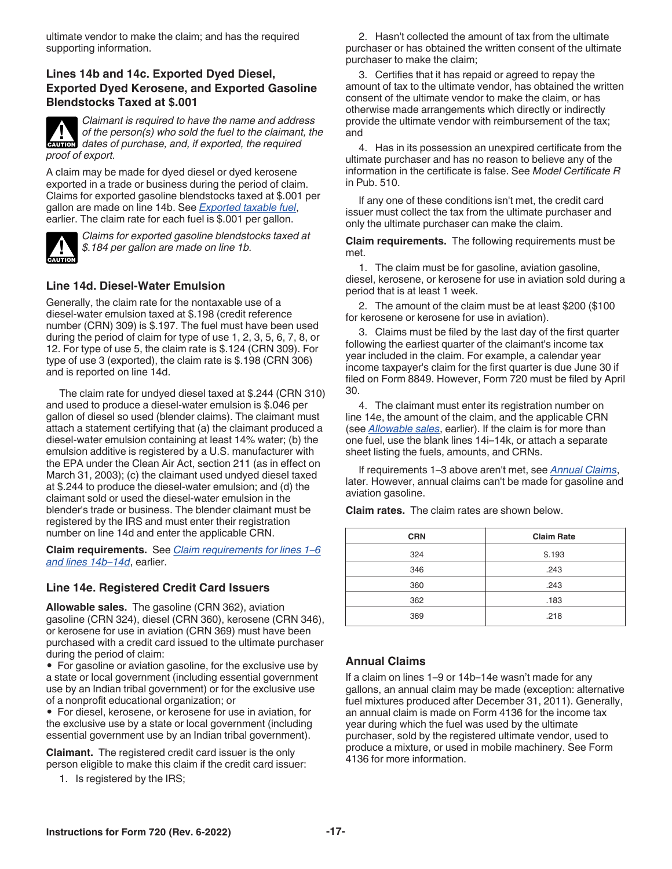ultimate vendor to make the claim; and has the required supporting information.

### **Lines 14b and 14c. Exported Dyed Diesel, Exported Dyed Kerosene, and Exported Gasoline Blendstocks Taxed at \$.001**



*Claimant is required to have the name and address of the person(s) who sold the fuel to the claimant, the*  of the person(s) who sold the fuel to the claimant<br>
dates of purchase, and, if exported, the required *proof of export.*

A claim may be made for dyed diesel or dyed kerosene exported in a trade or business during the period of claim. Claims for exported gasoline blendstocks taxed at \$.001 per gallon are made on line 14b. See *[Exported taxable fuel](#page-12-0)*, earlier. The claim rate for each fuel is \$.001 per gallon.



*Claims for exported gasoline blendstocks taxed at \$.184 per gallon are made on line 1b.*

### **Line 14d. Diesel-Water Emulsion**

Generally, the claim rate for the nontaxable use of a diesel-water emulsion taxed at \$.198 (credit reference number (CRN) 309) is \$.197. The fuel must have been used during the period of claim for type of use 1, 2, 3, 5, 6, 7, 8, or 12. For type of use 5, the claim rate is \$.124 (CRN 309). For type of use 3 (exported), the claim rate is \$.198 (CRN 306) and is reported on line 14d.

The claim rate for undyed diesel taxed at \$.244 (CRN 310) and used to produce a diesel-water emulsion is \$.046 per gallon of diesel so used (blender claims). The claimant must attach a statement certifying that (a) the claimant produced a diesel-water emulsion containing at least 14% water; (b) the emulsion additive is registered by a U.S. manufacturer with the EPA under the Clean Air Act, section 211 (as in effect on March 31, 2003); (c) the claimant used undyed diesel taxed at \$.244 to produce the diesel-water emulsion; and (d) the claimant sold or used the diesel-water emulsion in the blender's trade or business. The blender claimant must be registered by the IRS and must enter their registration number on line 14d and enter the applicable CRN.

**Claim requirements.** See *[Claim requirements for lines 1–6](#page-12-0) [and lines 14b–14d](#page-12-0)*, earlier.

### **Line 14e. Registered Credit Card Issuers**

**Allowable sales.** The gasoline (CRN 362), aviation gasoline (CRN 324), diesel (CRN 360), kerosene (CRN 346), or kerosene for use in aviation (CRN 369) must have been purchased with a credit card issued to the ultimate purchaser during the period of claim:

• For gasoline or aviation gasoline, for the exclusive use by a state or local government (including essential government use by an Indian tribal government) or for the exclusive use of a nonprofit educational organization; or

• For diesel, kerosene, or kerosene for use in aviation, for the exclusive use by a state or local government (including essential government use by an Indian tribal government).

**Claimant.** The registered credit card issuer is the only person eligible to make this claim if the credit card issuer:

1. Is registered by the IRS;

2. Hasn't collected the amount of tax from the ultimate purchaser or has obtained the written consent of the ultimate purchaser to make the claim;

3. Certifies that it has repaid or agreed to repay the amount of tax to the ultimate vendor, has obtained the written consent of the ultimate vendor to make the claim, or has otherwise made arrangements which directly or indirectly provide the ultimate vendor with reimbursement of the tax; and

4. Has in its possession an unexpired certificate from the ultimate purchaser and has no reason to believe any of the information in the certificate is false. See *Model Certificate R*  in Pub. 510.

If any one of these conditions isn't met, the credit card issuer must collect the tax from the ultimate purchaser and only the ultimate purchaser can make the claim.

**Claim requirements.** The following requirements must be met.

1. The claim must be for gasoline, aviation gasoline, diesel, kerosene, or kerosene for use in aviation sold during a period that is at least 1 week.

2. The amount of the claim must be at least \$200 (\$100 for kerosene or kerosene for use in aviation).

3. Claims must be filed by the last day of the first quarter following the earliest quarter of the claimant's income tax year included in the claim. For example, a calendar year income taxpayer's claim for the first quarter is due June 30 if filed on Form 8849. However, Form 720 must be filed by April 30.

4. The claimant must enter its registration number on line 14e, the amount of the claim, and the applicable CRN (see *Allowable sales*, earlier). If the claim is for more than one fuel, use the blank lines 14i–14k, or attach a separate sheet listing the fuels, amounts, and CRNs.

If requirements 1–3 above aren't met, see *Annual Claims*, later. However, annual claims can't be made for gasoline and aviation gasoline.

**Claim rates.** The claim rates are shown below.

| <b>CRN</b> | <b>Claim Rate</b> |  |  |
|------------|-------------------|--|--|
| 324        | \$.193            |  |  |
| 346        | .243              |  |  |
| 360        | .243              |  |  |
| 362        | .183              |  |  |
| 369        | .218              |  |  |

### **Annual Claims**

If a claim on lines 1–9 or 14b–14e wasn't made for any gallons, an annual claim may be made (exception: alternative fuel mixtures produced after December 31, 2011). Generally, an annual claim is made on Form 4136 for the income tax year during which the fuel was used by the ultimate purchaser, sold by the registered ultimate vendor, used to produce a mixture, or used in mobile machinery. See Form 4136 for more information.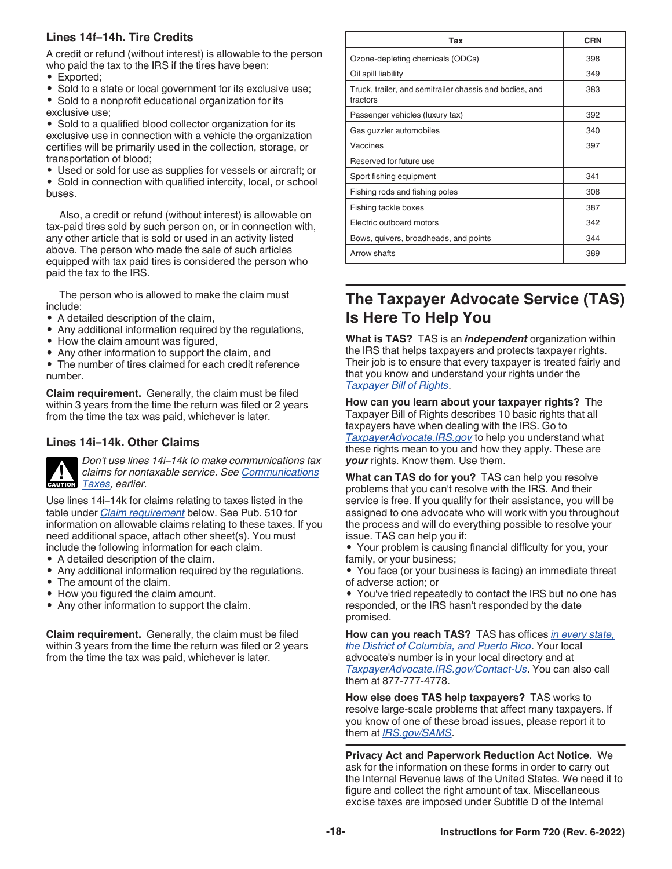### <span id="page-17-0"></span>**Lines 14f–14h. Tire Credits**

A credit or refund (without interest) is allowable to the person who paid the tax to the IRS if the tires have been:

- Exported;
- Sold to a state or local government for its exclusive use;
- Sold to a nonprofit educational organization for its exclusive use;

• Sold to a qualified blood collector organization for its exclusive use in connection with a vehicle the organization certifies will be primarily used in the collection, storage, or transportation of blood;

- Used or sold for use as supplies for vessels or aircraft; or
- Sold in connection with qualified intercity, local, or school buses.

Also, a credit or refund (without interest) is allowable on tax-paid tires sold by such person on, or in connection with, any other article that is sold or used in an activity listed above. The person who made the sale of such articles equipped with tax paid tires is considered the person who paid the tax to the IRS.

The person who is allowed to make the claim must include:

- A detailed description of the claim,
- Any additional information required by the regulations,
- How the claim amount was figured,
- Any other information to support the claim, and

• The number of tires claimed for each credit reference number.

**Claim requirement.** Generally, the claim must be filed within 3 years from the time the return was filed or 2 years from the time the tax was paid, whichever is later.

### **Lines 14i–14k. Other Claims**



*Don't use lines 14i–14k to make communications tax claims for nontaxable service. See [Communications](#page-2-0)*  **[Taxes,](#page-2-0)** earlier.

Use lines 14i–14k for claims relating to taxes listed in the table under *Claim requirement* below. See Pub. 510 for information on allowable claims relating to these taxes. If you need additional space, attach other sheet(s). You must include the following information for each claim.

- A detailed description of the claim.
- Any additional information required by the regulations.
- The amount of the claim.
- How you figured the claim amount.
- Any other information to support the claim.

**Claim requirement.** Generally, the claim must be filed within 3 years from the time the return was filed or 2 years from the time the tax was paid, whichever is later.

| Tax                                                                 | <b>CRN</b> |
|---------------------------------------------------------------------|------------|
| Ozone-depleting chemicals (ODCs)                                    | 398        |
| Oil spill liability                                                 | 349        |
| Truck, trailer, and semitrailer chassis and bodies, and<br>tractors | 383        |
| Passenger vehicles (luxury tax)                                     | 392        |
| Gas guzzler automobiles                                             | 340        |
| Vaccines                                                            | 397        |
| Reserved for future use                                             |            |
| Sport fishing equipment                                             | 341        |
| Fishing rods and fishing poles                                      | 308        |
| Fishing tackle boxes                                                | 387        |
| Electric outboard motors                                            | 342        |
| Bows, quivers, broadheads, and points                               | 344        |
| Arrow shafts                                                        | 389        |

# **The Taxpayer Advocate Service (TAS) Is Here To Help You**

**What is TAS?** TAS is an *independent* organization within the IRS that helps taxpayers and protects taxpayer rights. Their job is to ensure that every taxpayer is treated fairly and that you know and understand your rights under the *[Taxpayer Bill of Rights](https://www.taxpayeradvocate.irs.gov/get-help/taxpayer-rights/)*.

**How can you learn about your taxpayer rights?** The Taxpayer Bill of Rights describes 10 basic rights that all taxpayers have when dealing with the IRS. Go to *[TaxpayerAdvocate.IRS.gov](https://www.taxpayeradvocate.irs.gov/)* to help you understand what these rights mean to you and how they apply. These are *your* rights. Know them. Use them.

**What can TAS do for you?** TAS can help you resolve problems that you can't resolve with the IRS. And their service is free. If you qualify for their assistance, you will be assigned to one advocate who will work with you throughout the process and will do everything possible to resolve your issue. TAS can help you if:

• Your problem is causing financial difficulty for you, your family, or your business;

• You face (or your business is facing) an immediate threat of adverse action; or

• You've tried repeatedly to contact the IRS but no one has responded, or the IRS hasn't responded by the date promised.

**How can you reach TAS?** TAS has offices *[in every state,](https://www.irs.gov/advocate/local-taxpayer-advocate) [the District of Columbia, and Puerto Rico](https://www.irs.gov/advocate/local-taxpayer-advocate)*. Your local advocate's number is in your local directory and at *[TaxpayerAdvocate.IRS.gov/Contact-Us](https://www.taxpayeradvocate.irs.gov/contact-us)*. You can also call them at 877-777-4778.

**How else does TAS help taxpayers?** TAS works to resolve large-scale problems that affect many taxpayers. If you know of one of these broad issues, please report it to them at *[IRS.gov/SAMS](https://www.irs.gov/sams)*.

**Privacy Act and Paperwork Reduction Act Notice.** We ask for the information on these forms in order to carry out the Internal Revenue laws of the United States. We need it to figure and collect the right amount of tax. Miscellaneous excise taxes are imposed under Subtitle D of the Internal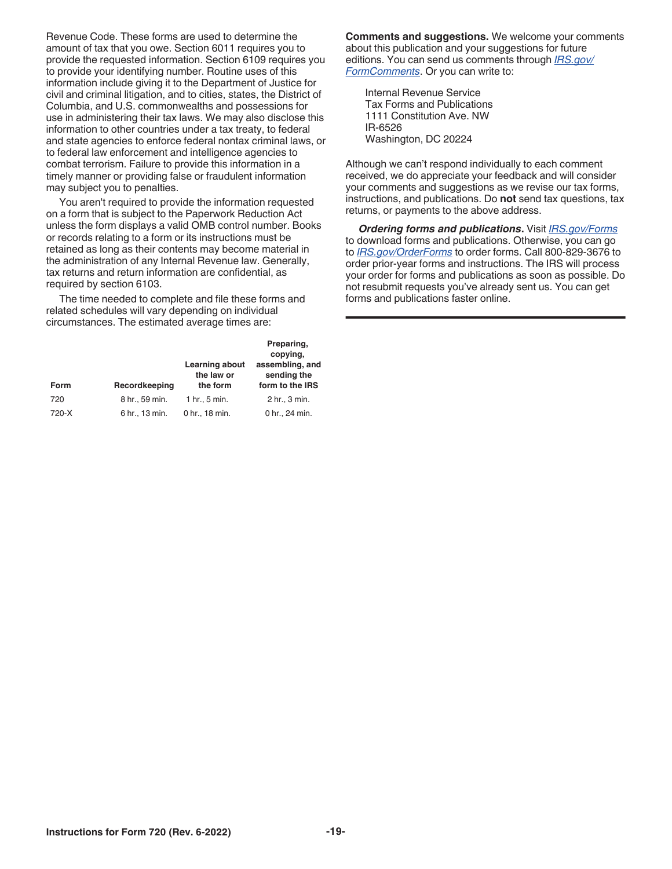Revenue Code. These forms are used to determine the amount of tax that you owe. Section 6011 requires you to provide the requested information. Section 6109 requires you to provide your identifying number. Routine uses of this information include giving it to the Department of Justice for civil and criminal litigation, and to cities, states, the District of Columbia, and U.S. commonwealths and possessions for use in administering their tax laws. We may also disclose this information to other countries under a tax treaty, to federal and state agencies to enforce federal nontax criminal laws, or to federal law enforcement and intelligence agencies to combat terrorism. Failure to provide this information in a timely manner or providing false or fraudulent information may subject you to penalties.

You aren't required to provide the information requested on a form that is subject to the Paperwork Reduction Act unless the form displays a valid OMB control number. Books or records relating to a form or its instructions must be retained as long as their contents may become material in the administration of any Internal Revenue law. Generally, tax returns and return information are confidential, as required by section 6103.

The time needed to complete and file these forms and related schedules will vary depending on individual circumstances. The estimated average times are:

| <b>Form</b> | Recordkeeping  | Learning about<br>the law or<br>the form | Preparing,<br>copying,<br>assembling, and<br>sending the<br>form to the IRS |
|-------------|----------------|------------------------------------------|-----------------------------------------------------------------------------|
| 720         | 8 hr., 59 min. | 1 hr., 5 min.                            | 2 hr., 3 min.                                                               |
| 720-X       | 6 hr., 13 min. | 0 hr., 18 min.                           | 0 hr., 24 min.                                                              |

**Comments and suggestions.** We welcome your comments about this publication and your suggestions for future editions. You can send us comments through *[IRS.gov/](https://www.irs.gov/formscomments) [FormComments](https://www.irs.gov/formscomments)*. Or you can write to:

Internal Revenue Service Tax Forms and Publications 1111 Constitution Ave. NW IR-6526 Washington, DC 20224

Although we can't respond individually to each comment received, we do appreciate your feedback and will consider your comments and suggestions as we revise our tax forms, instructions, and publications. Do **not** send tax questions, tax returns, or payments to the above address.

*Ordering forms and publications***.** Visit *[IRS.gov/Forms](https://www.irs.gov/formspubs)*  to download forms and publications. Otherwise, you can go to *[IRS.gov/OrderForms](https://www.irs.gov/orderforms)* to order forms. Call 800-829-3676 to order prior-year forms and instructions. The IRS will process your order for forms and publications as soon as possible. Do not resubmit requests you've already sent us. You can get forms and publications faster online.